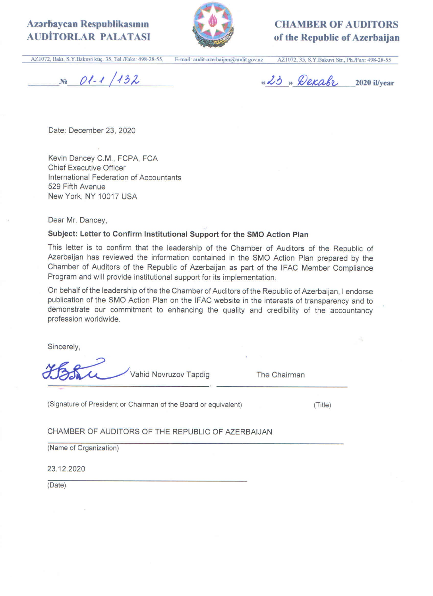# Azərbaycan Respublikasının **AUDITORLAR PALATASI**



**CHAMBER OF AUDITORS** of the Republic of Azerbaijan

AZ1072, Bakı, S.Y.Bakuvi küç. 35, Tel./Faks: 498-28-55, E-mail: audit-azerbaijan@audit.gov.az AZ1072, 35, S.Y.Bakuvi Str., Ph./Fax: 498-28-55

 $N_e$   $01-1/132$ 

«23» Dexabr 2020 il/vear

Date: December 23, 2020

Kevin Dancey C.M., FCPA, FCA **Chief Executive Officer** International Federation of Accountants 529 Fifth Avenue New York, NY 10017 USA

Dear Mr. Dancey,

# Subject: Letter to Confirm Institutional Support for the SMO Action Plan

This letter is to confirm that the leadership of the Chamber of Auditors of the Republic of Azerbaijan has reviewed the information contained in the SMO Action Plan prepared by the Chamber of Auditors of the Republic of Azerbaijan as part of the IFAC Member Compliance Program and will provide institutional support for its implementation.

On behalf of the leadership of the the Chamber of Auditors of the Republic of Azerbaijan, I endorse publication of the SMO Action Plan on the IFAC website in the interests of transparency and to demonstrate our commitment to enhancing the quality and credibility of the accountancy profession worldwide.

Sincerely,

Vahid Novruzov Tapdig

The Chairman

(Signature of President or Chairman of the Board or equivalent)

 $(Title)$ 

CHAMBER OF AUDITORS OF THE REPUBLIC OF AZERBAIJAN

(Name of Organization)

23.12.2020

(Date)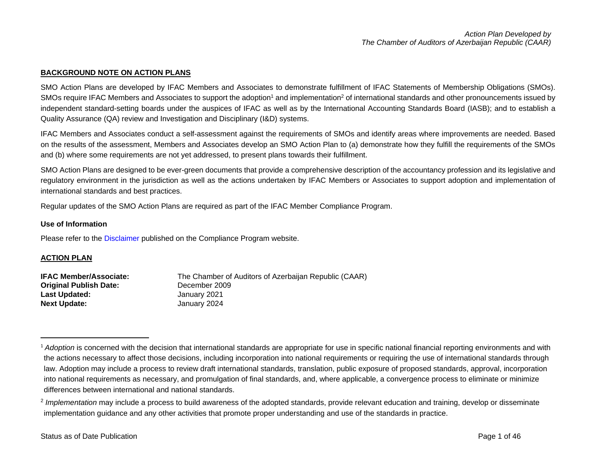# **BACKGROUND NOTE ON ACTION PLANS**

SMO Action Plans are developed by IFAC Members and Associates to demonstrate fulfillment of IFAC Statements of Membership Obligations (SMOs). SMOs require IFAC Members and Associates to support the adoption<sup>1</sup> and implementation<sup>2</sup> of international standards and other pronouncements issued by independent standard-setting boards under the auspices of IFAC as well as by the International Accounting Standards Board (IASB); and to establish a Quality Assurance (QA) review and Investigation and Disciplinary (I&D) systems.

IFAC Members and Associates conduct a self-assessment against the requirements of SMOs and identify areas where improvements are needed. Based on the results of the assessment, Members and Associates develop an SMO Action Plan to (a) demonstrate how they fulfill the requirements of the SMOs and (b) where some requirements are not yet addressed, to present plans towards their fulfillment.

SMO Action Plans are designed to be ever-green documents that provide a comprehensive description of the accountancy profession and its legislative and regulatory environment in the jurisdiction as well as the actions undertaken by IFAC Members or Associates to support adoption and implementation of international standards and best practices.

Regular updates of the SMO Action Plans are required as part of the IFAC Member Compliance Program.

#### **Use of Information**

Please refer to the [Disclaimer](http://www.ifac.org/about-ifac/membership/members/disclaimer) published on the Compliance Program website.

# **ACTION PLAN**

| <b>IFAC Member/Associate:</b> | The Chamber of Auditors of Azerbaijan Republic (CAAR) |
|-------------------------------|-------------------------------------------------------|
| <b>Original Publish Date:</b> | December 2009                                         |
| <b>Last Updated:</b>          | January 2021                                          |
| <b>Next Update:</b>           | January 2024                                          |

<sup>&</sup>lt;sup>1</sup> Adoption is concerned with the decision that international standards are appropriate for use in specific national financial reporting environments and with the actions necessary to affect those decisions, including incorporation into national requirements or requiring the use of international standards through law. Adoption may include a process to review draft international standards, translation, public exposure of proposed standards, approval, incorporation into national requirements as necessary, and promulgation of final standards, and, where applicable, a convergence process to eliminate or minimize differences between international and national standards.

<sup>&</sup>lt;sup>2</sup> Implementation may include a process to build awareness of the adopted standards, provide relevant education and training, develop or disseminate implementation guidance and any other activities that promote proper understanding and use of the standards in practice.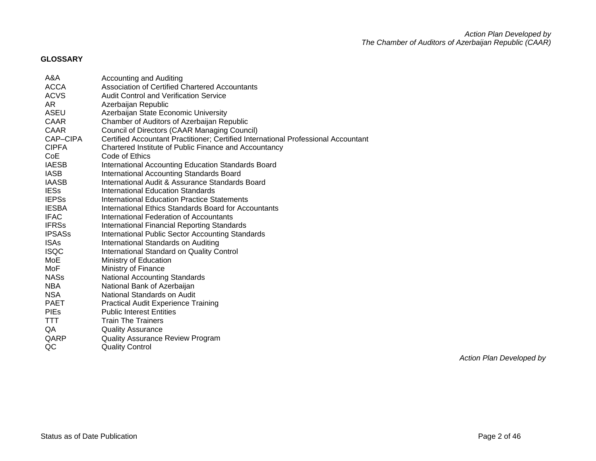# **GLOSSARY**

| A&A           | Accounting and Auditing                                                            |
|---------------|------------------------------------------------------------------------------------|
| ACCA          | Association of Certified Chartered Accountants                                     |
| <b>ACVS</b>   | <b>Audit Control and Verification Service</b>                                      |
| AR            | Azerbaijan Republic                                                                |
| ASEU          | Azerbaijan State Economic University                                               |
| CAAR          | Chamber of Auditors of Azerbaijan Republic                                         |
| <b>CAAR</b>   | Council of Directors (CAAR Managing Council)                                       |
| CAP-CIPA      | Certified Accountant Practitioner; Certified International Professional Accountant |
| <b>CIPFA</b>  | Chartered Institute of Public Finance and Accountancy                              |
| CoE           | Code of Ethics                                                                     |
| <b>IAESB</b>  | International Accounting Education Standards Board                                 |
| <b>IASB</b>   | International Accounting Standards Board                                           |
| IAASB         | International Audit & Assurance Standards Board                                    |
| <b>IESs</b>   | <b>International Education Standards</b>                                           |
| <b>IEPSs</b>  | International Education Practice Statements                                        |
| <b>IESBA</b>  | International Ethics Standards Board for Accountants                               |
| <b>IFAC</b>   | International Federation of Accountants                                            |
| <b>IFRSs</b>  | International Financial Reporting Standards                                        |
| <b>IPSASs</b> | International Public Sector Accounting Standards                                   |
| <b>ISAs</b>   | International Standards on Auditing                                                |
| <b>ISQC</b>   | International Standard on Quality Control                                          |
| MoE           | Ministry of Education                                                              |
| MoF           | Ministry of Finance                                                                |
| NASs          | <b>National Accounting Standards</b>                                               |
| NBA           | National Bank of Azerbaijan                                                        |
| <b>NSA</b>    | National Standards on Audit                                                        |
| <b>PAET</b>   | <b>Practical Audit Experience Training</b>                                         |
| <b>PIEs</b>   | <b>Public Interest Entities</b>                                                    |
| TTT.          | <b>Train The Trainers</b>                                                          |
| QA            | <b>Quality Assurance</b>                                                           |
| QARP          | <b>Quality Assurance Review Program</b>                                            |
| QC            | <b>Quality Control</b>                                                             |

*Action Plan Developed by*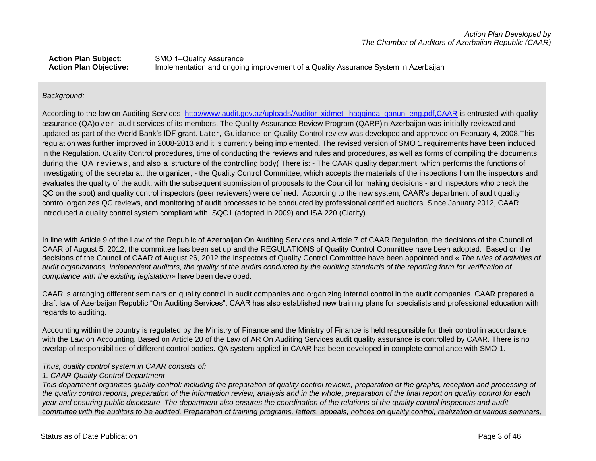# Action Plan Subject: SMO 1-Quality Assurance **Action Plan Objective:** Implementation and ongoing improvement of a Quality Assurance System in Azerbaijan

# *Background:*

According to the law on Auditing Services http://www.audit.gov.az/uploads/Auditor xidmeti hagqinda qanun eng.pdf,CAAR is entrusted with quality assurance (QA)o v e r audit services of its members. The Quality Assurance Review Program (QARP)in Azerbaijan was initially reviewed and updated as part of the World Bank's IDF grant. Later, Guidance on Quality Control review was developed and approved on February 4, 2008.This regulation was further improved in 2008-2013 and it is currently being implemented. The revised version of SMO 1 requirements have been included in the Regulation. Quality Control procedures, time of conducting the reviews and rules and procedures, as well as forms of compiling the documents during the QA reviews , and also a structure of the controlling body( There is: - The CAAR quality department, which performs the functions of investigating of the secretariat, the organizer, - the Quality Control Committee, which accepts the materials of the inspections from the inspectors and evaluates the quality of the audit, with the subsequent submission of proposals to the Council for making decisions - and inspectors who check the QC on the spot) and quality control inspectors (peer reviewers) were defined. According to the new system, CAAR's department of audit quality control organizes QC reviews, and monitoring of audit processes to be conducted by professional certified auditors. Since January 2012, CAAR introduced a quality control system compliant with ISQC1 (adopted in 2009) and ISA 220 (Clarity).

In line with Article 9 of the Law of the Republic of Azerbaijan On Auditing Services and Article 7 of CAAR Regulation, the decisions of the Council of CAAR of August 5, 2012, the committee has been set up and the REGULATIONS of Quality Control Committee have been adopted. Based on the decisions of the Council of CAAR of August 26, 2012 the inspectors of Quality Control Committee have been appointed and « *The rules of activities of*  audit organizations, independent auditors, the quality of the audits conducted by the auditing standards of the reporting form for verification of *compliance with the existing legislation*» have been developed.

CAAR is arranging different seminars on quality control in audit companies and organizing internal control in the audit companies. CAAR prepared a draft law of Azerbaijan Republic "On Auditing Services", CAAR has also established new training plans for specialists and professional education with regards to auditing.

Accounting within the country is regulated by the Ministry of Finance and the Ministry of Finance is held responsible for their control in accordance with the Law on Accounting. Based on Article 20 of the Law of AR On Auditing Services audit quality assurance is controlled by CAAR. There is no overlap of responsibilities of different control bodies. QA system applied in CAAR has been developed in complete compliance with SMO-1.

# *Thus, quality control system in CAAR consists of:*

# *1. CAAR Quality Control Department*

*This department organizes quality control: including the preparation of quality control reviews, preparation of the graphs, reception and processing of the quality control reports, preparation of the information review, analysis and in the whole, preparation of the final report on quality control for each year and ensuring public disclosure. The department also ensures the coordination of the relations of the quality control inspectors and audit committee with the auditors to be audited. Preparation of training programs, letters, appeals, notices on quality control, realization of various seminars,*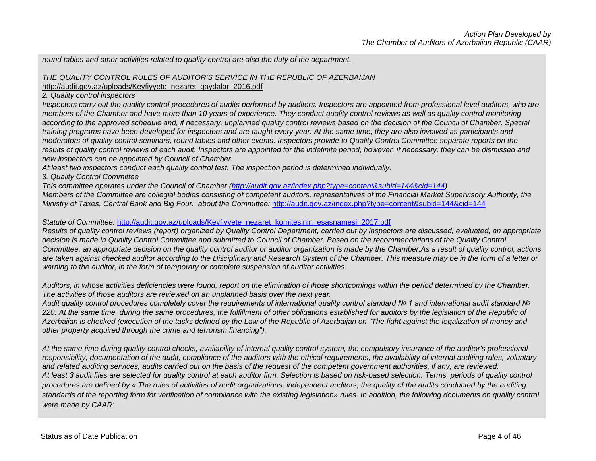*round tables and other activities related to quality control are also the duty of the department.*

# *THE QUALITY CONTROL RULES OF AUDITOR'S SERVICE IN THE REPUBLIC OF AZERBAIJAN*

[http://audit.gov.az/uploads/Keyfiyyete\\_nezaret\\_qaydalar\\_2016.pdf](http://audit.gov.az/uploads/Keyfiyyete_nezaret_qaydalar_2016.pdf) 

*2. Quality control inspectors*

*Inspectors carry out the quality control procedures of audits performed by auditors. Inspectors are appointed from professional level auditors, who are members of the Chamber and have more than 10 years of experience. They conduct quality control reviews as well as quality control monitoring according to the approved schedule and, if necessary, unplanned quality control reviews based on the decision of the Council of Chamber. Special training programs have been developed for inspectors and are taught every year. At the same time, they are also involved as participants and moderators of quality control seminars, round tables and other events. Inspectors provide to Quality Control Committee separate reports on the results of quality control reviews of each audit. Inspectors are appointed for the indefinite period, however, if necessary, they can be dismissed and new inspectors can be appointed by Council of Chamber.*

*At least two inspectors conduct each quality control test. The inspection period is determined individually.*

*3. Quality Control Committee*

*This committee operates under the Council of Chamber [\(http://audit.gov.az/index.php?type=content&subid=144&cid=144\)](http://audit.gov.az/index.php?type=content&subid=144&cid=144)* 

*Members of the Committee are collegial bodies consisting of competent auditors, representatives of the Financial Market Supervisory Authority, the Ministry of Taxes, Central Bank and Big Four. about the Committee: <http://audit.gov.az/index.php?type=content&subid=144&cid=144>* 

*Statute of Committee:* [http://audit.gov.az/uploads/Keyfiyyete\\_nezaret\\_komitesinin\\_esasnamesi\\_2017.pdf](http://audit.gov.az/uploads/Keyfiyyete_nezaret_komitesinin_esasnamesi_2017.pdf)

*Results of quality control reviews (report) organized by Quality Control Department, carried out by inspectors are discussed, evaluated, an appropriate decision is made in Quality Control Committee and submitted to Council of Chamber. Based on the recommendations of the Quality Control Committee, an appropriate decision on the quality control auditor or auditor organization is made by the Chamber.As a result of quality control, actions are taken against checked auditor according to the Disciplinary and Research System of the Chamber. This measure may be in the form of a letter or warning to the auditor, in the form of temporary or complete suspension of auditor activities.*

*Auditors, in whose activities deficiencies were found, report on the elimination of those shortcomings within the period determined by the Chamber. The activities of those auditors are reviewed on an unplanned basis over the next year.*

*Audit quality control procedures completely cover the requirements of international quality control standard № 1 and international audit standard №*  220. At the same time, during the same procedures, the fulfillment of other obligations established for auditors by the legislation of the Republic of *Azerbaijan is checked (execution of the tasks defined by the Law of the Republic of Azerbaijan on "The fight against the legalization of money and other property acquired through the crime and terrorism financing").*

At the same time during quality control checks, availability of internal quality control system, the compulsory insurance of the auditor's professional *responsibility, documentation of the audit, compliance of the auditors with the ethical requirements, the availability of internal auditing rules, voluntary and related auditing services, audits carried out on the basis of the request of the competent government authorities, if any, are reviewed. At least 3 audit files are selected for quality control at each auditor firm. Selection is based on risk-based selection. Terms, periods of quality control procedures are defined by « The rules of activities of audit organizations, independent auditors, the quality of the audits conducted by the auditing standards of the reporting form for verification of compliance with the existing legislation» rules. In addition, the following documents on quality control were made by CAAR:*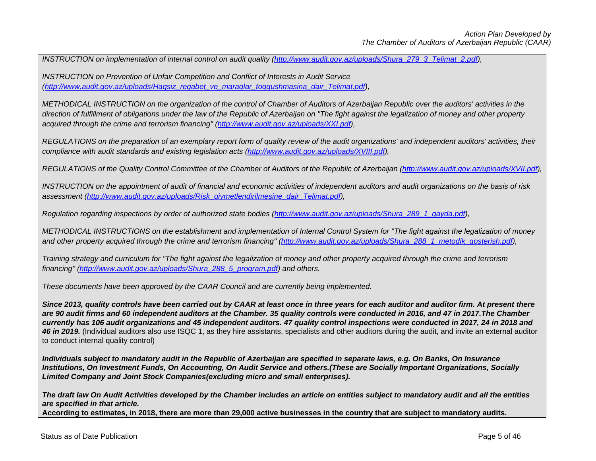*INSTRUCTION on implementation of internal control on audit quality [\(http://www.audit.gov.az/uploads/Shura\\_279\\_3\\_Telimat\\_2.pdf\)](http://www.audit.gov.az/uploads/Shura_279_3_Telimat_2.pdf)*,

*INSTRUCTION on Prevention of Unfair Competition and Conflict of Interests in Audit Service [\(http://www.audit.gov.az/uploads/Haqsiz\\_reqabet\\_ve\\_maraqlar\\_toqqushmasina\\_dair\\_Telimat.pdf\)](http://www.audit.gov.az/uploads/Haqsiz_reqabet_ve_maraqlar_toqqushmasina_dair_Telimat.pdf),* 

*METHODICAL INSTRUCTION on the organization of the control of Chamber of Auditors of Azerbaijan Republic over the auditors' activities in the direction of fulfillment of obligations under the law of the Republic of Azerbaijan on "The fight against the legalization of money and other property acquired through the crime and terrorism financing" [\(http://www.audit.gov.az/uploads/XXI.pdf\)](http://www.audit.gov.az/uploads/XXI.pdf),* 

*REGULATIONS on the preparation of an exemplary report form of quality review of the audit organizations' and independent auditors' activities, their compliance with audit standards and existing legislation acts [\(http://www.audit.gov.az/uploads/XVIII.pdf\)](http://www.audit.gov.az/uploads/XVIII.pdf),* 

*REGULATIONS of the Quality Control Committee of the Chamber of Auditors of the Republic of Azerbaijan [\(http://www.audit.gov.az/uploads/XVII.pdf\)](http://www.audit.gov.az/uploads/XVII.pdf)*,

*INSTRUCTION on the appointment of audit of financial and economic activities of independent auditors and audit organizations on the basis of risk assessment [\(http://www.audit.gov.az/uploads/Risk\\_qiymetlendirilmesine\\_dair\\_Telimat.pdf\)](http://www.audit.gov.az/uploads/Risk_qiymetlendirilmesine_dair_Telimat.pdf),* 

*Regulation regarding inspections by order of authorized state bodies (http://www.audit.gov.az/uploads/Shura 289 1 qayda.pdf),* 

*METHODICAL INSTRUCTIONS on the establishment and implementation of Internal Control System for "The fight against the legalization of money* and other property acquired through the crime and terrorism financing" [\(http://www.audit.gov.az/uploads/Shura\\_288\\_1\\_metodik\\_gosterish.pdf\)](http://www.audit.gov.az/uploads/Shura_288_1_metodik_gosterish.pdf),

*Training strategy and curriculum for "The fight against the legalization of money and other property acquired through the crime and terrorism financing" [\(http://www.audit.gov.az/uploads/Shura\\_288\\_5\\_proqram.pdf\)](http://www.audit.gov.az/uploads/Shura_288_5_proqram.pdf) and others.*

*These documents have been approved by the CAAR Council and are currently being implemented.* 

*Since 2013, quality controls have been carried out by CAAR at least once in three years for each auditor and auditor firm. At present there are 90 audit firms and 60 independent auditors at the Chamber. 35 quality controls were conducted in 2016, and 47 in 2017.The Chamber currently has 106 audit organizations and 45 independent auditors. 47 quality control inspections were conducted in 2017, 24 in 2018 and*  46 in 2019. (Individual auditors also use ISQC 1, as they hire assistants, specialists and other auditors during the audit, and invite an external auditor to conduct internal quality control)

*Individuals subject to mandatory audit in the Republic of Azerbaijan are specified in separate laws, e.g. On Banks, On Insurance Institutions, On Investment Funds, On Accounting, On Audit Service and others.(These are Socially Important Organizations, Socially Limited Company and Joint Stock Companies(excluding micro and small enterprises).*

*The draft law On Audit Activities developed by the Chamber includes an article on entities subject to mandatory audit and all the entities are specified in that article.*

**According to estimates, in 2018, there are more than 29,000 active businesses in the country that are subject to mandatory audits.**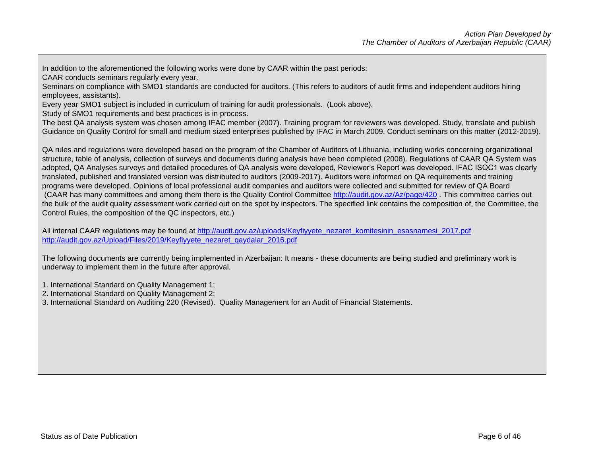In addition to the aforementioned the following works were done by CAAR within the past periods:

CAAR conducts seminars regularly every year.

Seminars on compliance with SMO1 standards are conducted for auditors. (This refers to auditors of audit firms and independent auditors hiring employees, assistants).

Every year SMO1 subject is included in curriculum of training for audit professionals. (Look above).

Study of SMO1 requirements and best practices is in process.

The best QA analysis system was chosen among IFAC member (2007). Training program for reviewers was developed. Study, translate and publish Guidance on Quality Control for small and medium sized enterprises published by IFAC in March 2009. Conduct seminars on this matter (2012-2019).

QA rules and regulations were developed based on the program of the Chamber of Auditors of Lithuania, including works concerning organizational structure, table of analysis, collection of surveys and documents during analysis have been completed (2008). Regulations of CAAR QA System was adopted, QA Analyses surveys and detailed procedures of QA analysis were developed, Reviewer's Report was developed. IFAC ISQC1 was clearly translated, published and translated version was distributed to auditors (2009-2017). Auditors were informed on QA requirements and training programs were developed. Opinions of local professional audit companies and auditors were collected and submitted for review of QA Board (CAAR has many committees and among them there is the Quality Control Committee<http://audit.gov.az/Az/page/420> . This committee carries out the bulk of the audit quality assessment work carried out on the spot by inspectors. The specified link contains the composition of, the Committee, the Control Rules, the composition of the QC inspectors, etc.)

All internal CAAR regulations may be found at http://audit.gov.az/uploads/Keyfiyyete\_nezaret\_komitesinin\_esasnamesi\_2017.pdf [http://audit.gov.az/Upload/Files/2019/Keyfiyyete\\_nezaret\\_qaydalar\\_2016.pdf](http://audit.gov.az/Upload/Files/2019/Keyfiyyete_nezaret_qaydalar_2016.pdf)

The following documents are currently being implemented in Azerbaijan: It means - these documents are being studied and preliminary work is underway to implement them in the future after approval.

1. International Standard on Quality Management 1;

- 2. International Standard on Quality Management 2;
- 3. International Standard on Auditing 220 (Revised). Quality Management for an Audit of Financial Statements.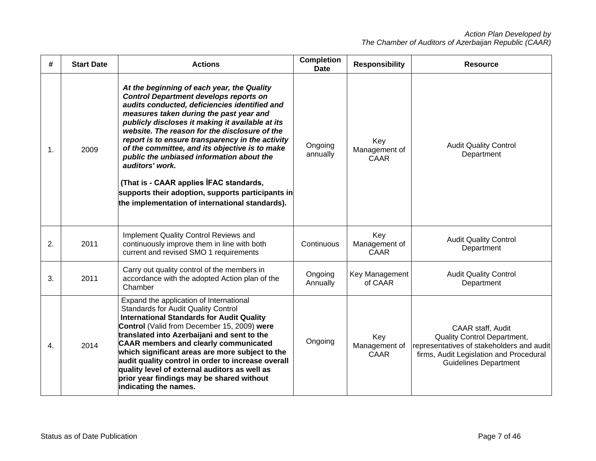| #  | <b>Start Date</b> | <b>Actions</b>                                                                                                                                                                                                                                                                                                                                                                                                                                                                                                                                                                                                        | <b>Completion</b><br><b>Date</b> | <b>Responsibility</b>               | <b>Resource</b>                                                                                                                                                          |
|----|-------------------|-----------------------------------------------------------------------------------------------------------------------------------------------------------------------------------------------------------------------------------------------------------------------------------------------------------------------------------------------------------------------------------------------------------------------------------------------------------------------------------------------------------------------------------------------------------------------------------------------------------------------|----------------------------------|-------------------------------------|--------------------------------------------------------------------------------------------------------------------------------------------------------------------------|
| 1. | 2009              | At the beginning of each year, the Quality<br><b>Control Department develops reports on</b><br>audits conducted, deficiencies identified and<br>measures taken during the past year and<br>publicly discloses it making it available at its<br>website. The reason for the disclosure of the<br>report is to ensure transparency in the activity<br>of the committee, and its objective is to make<br>public the unbiased information about the<br>auditors' work.<br>(That is - CAAR applies IFAC standards,<br>supports their adoption, supports participants in<br>the implementation of international standards). | Ongoing<br>annually              | Key<br>Management of<br>CAAR        | <b>Audit Quality Control</b><br>Department                                                                                                                               |
| 2. | 2011              | Implement Quality Control Reviews and<br>continuously improve them in line with both<br>current and revised SMO 1 requirements                                                                                                                                                                                                                                                                                                                                                                                                                                                                                        | Continuous                       | Key<br>Management of<br><b>CAAR</b> | <b>Audit Quality Control</b><br>Department                                                                                                                               |
| 3. | 2011              | Carry out quality control of the members in<br>accordance with the adopted Action plan of the<br>Chamber                                                                                                                                                                                                                                                                                                                                                                                                                                                                                                              | Ongoing<br>Annually              | Key Management<br>of CAAR           | <b>Audit Quality Control</b><br>Department                                                                                                                               |
| 4. | 2014              | Expand the application of International<br><b>Standards for Audit Quality Control</b><br><b>International Standards for Audit Quality</b><br>Control (Valid from December 15, 2009) were<br>translated into Azerbaijani and sent to the<br><b>CAAR members and clearly communicated</b><br>which significant areas are more subject to the<br>audit quality control in order to increase overall<br>quality level of external auditors as well as<br>prior year findings may be shared without<br>indicating the names.                                                                                               | Ongoing                          | Key<br>Management of<br>CAAR        | CAAR staff, Audit<br>Quality Control Department,<br>representatives of stakeholders and audit<br>firms, Audit Legislation and Procedural<br><b>Guidelines Department</b> |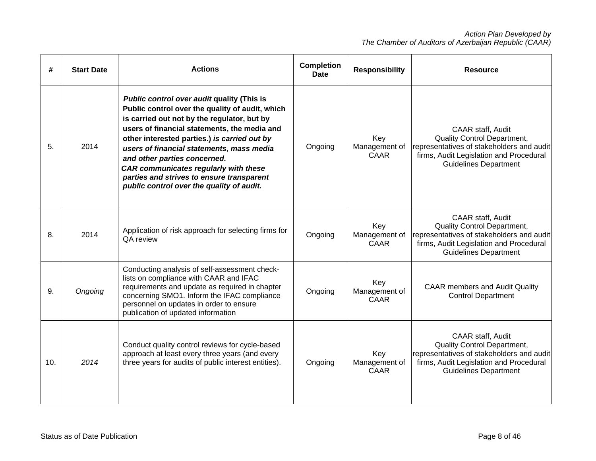| #   | <b>Start Date</b> | <b>Actions</b>                                                                                                                                                                                                                                                                                                                                                                                                                                                             | <b>Completion</b><br><b>Date</b> | <b>Responsibility</b>               | <b>Resource</b>                                                                                                                                                                 |
|-----|-------------------|----------------------------------------------------------------------------------------------------------------------------------------------------------------------------------------------------------------------------------------------------------------------------------------------------------------------------------------------------------------------------------------------------------------------------------------------------------------------------|----------------------------------|-------------------------------------|---------------------------------------------------------------------------------------------------------------------------------------------------------------------------------|
| 5.  | 2014              | <b>Public control over audit quality (This is</b><br>Public control over the quality of audit, which<br>is carried out not by the regulator, but by<br>users of financial statements, the media and<br>other interested parties.) is carried out by<br>users of financial statements, mass media<br>and other parties concerned.<br><b>CAR communicates regularly with these</b><br>parties and strives to ensure transparent<br>public control over the quality of audit. | Ongoing                          | Key<br>Management of<br>CAAR        | CAAR staff, Audit<br><b>Quality Control Department,</b><br>representatives of stakeholders and audit<br>firms, Audit Legislation and Procedural<br><b>Guidelines Department</b> |
| 8.  | 2014              | Application of risk approach for selecting firms for<br>QA review                                                                                                                                                                                                                                                                                                                                                                                                          | Ongoing                          | Key<br>Management of<br><b>CAAR</b> | CAAR staff, Audit<br>Quality Control Department,<br>representatives of stakeholders and audit<br>firms, Audit Legislation and Procedural<br><b>Guidelines Department</b>        |
| 9.  | Ongoing           | Conducting analysis of self-assessment check-<br>lists on compliance with CAAR and IFAC<br>requirements and update as required in chapter<br>concerning SMO1. Inform the IFAC compliance<br>personnel on updates in order to ensure<br>publication of updated information                                                                                                                                                                                                  | Ongoing                          | Key<br>Management of<br>CAAR        | <b>CAAR members and Audit Quality</b><br><b>Control Department</b>                                                                                                              |
| 10. | 2014              | Conduct quality control reviews for cycle-based<br>approach at least every three years (and every<br>three years for audits of public interest entities).                                                                                                                                                                                                                                                                                                                  | Ongoing                          | Key<br>Management of<br>CAAR        | CAAR staff, Audit<br>Quality Control Department,<br>representatives of stakeholders and audit<br>firms, Audit Legislation and Procedural<br><b>Guidelines Department</b>        |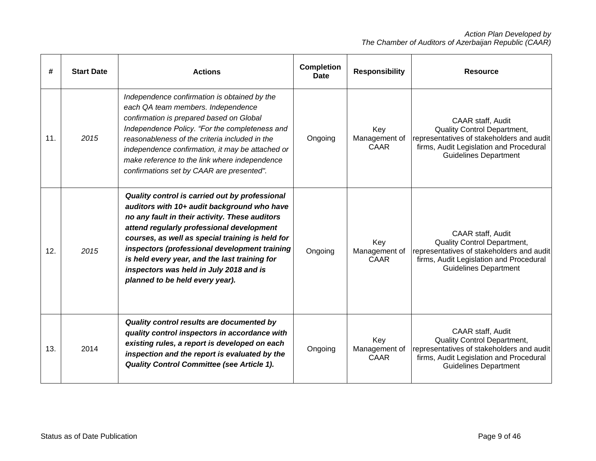| #   | <b>Start Date</b> | <b>Actions</b>                                                                                                                                                                                                                                                                                                                                                                                                                   | <b>Completion</b><br><b>Date</b> | <b>Responsibility</b>               | <b>Resource</b>                                                                                                                                                                 |
|-----|-------------------|----------------------------------------------------------------------------------------------------------------------------------------------------------------------------------------------------------------------------------------------------------------------------------------------------------------------------------------------------------------------------------------------------------------------------------|----------------------------------|-------------------------------------|---------------------------------------------------------------------------------------------------------------------------------------------------------------------------------|
| 11. | 2015              | Independence confirmation is obtained by the<br>each QA team members. Independence<br>confirmation is prepared based on Global<br>Independence Policy. "For the completeness and<br>reasonableness of the criteria included in the<br>independence confirmation, it may be attached or<br>make reference to the link where independence<br>confirmations set by CAAR are presented".                                             | Ongoing                          | Key<br>Management of<br>CAAR        | CAAR staff, Audit<br><b>Quality Control Department,</b><br>representatives of stakeholders and audit<br>firms, Audit Legislation and Procedural<br><b>Guidelines Department</b> |
| 12. | 2015              | Quality control is carried out by professional<br>auditors with 10+ audit background who have<br>no any fault in their activity. These auditors<br>attend regularly professional development<br>courses, as well as special training is held for<br>inspectors (professional development training<br>is held every year, and the last training for<br>inspectors was held in July 2018 and is<br>planned to be held every year). | Ongoing                          | Key<br>Management of<br><b>CAAR</b> | CAAR staff, Audit<br><b>Quality Control Department,</b><br>representatives of stakeholders and audit<br>firms, Audit Legislation and Procedural<br><b>Guidelines Department</b> |
| 13. | 2014              | Quality control results are documented by<br>quality control inspectors in accordance with<br>existing rules, a report is developed on each<br>inspection and the report is evaluated by the<br><b>Quality Control Committee (see Article 1).</b>                                                                                                                                                                                | Ongoing                          | Key<br>Management of<br>CAAR        | CAAR staff, Audit<br>Quality Control Department,<br>representatives of stakeholders and audit<br>firms, Audit Legislation and Procedural<br><b>Guidelines Department</b>        |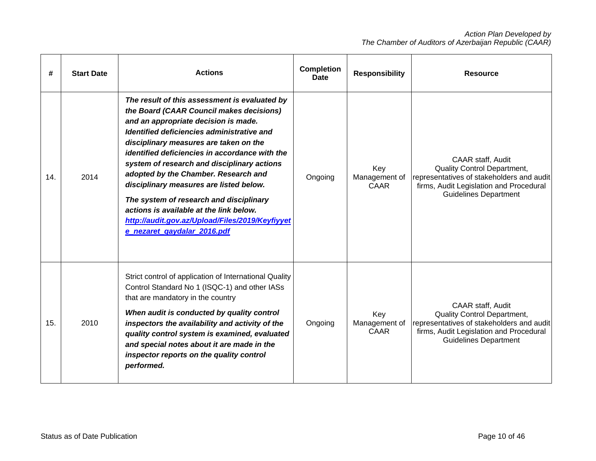| #   | <b>Start Date</b> | <b>Actions</b>                                                                                                                                                                                                                                                                                                                                                                                                                                                                                                                                                                        | <b>Completion</b><br><b>Date</b> | <b>Responsibility</b>               | <b>Resource</b>                                                                                                                                                                        |
|-----|-------------------|---------------------------------------------------------------------------------------------------------------------------------------------------------------------------------------------------------------------------------------------------------------------------------------------------------------------------------------------------------------------------------------------------------------------------------------------------------------------------------------------------------------------------------------------------------------------------------------|----------------------------------|-------------------------------------|----------------------------------------------------------------------------------------------------------------------------------------------------------------------------------------|
| 14. | 2014              | The result of this assessment is evaluated by<br>the Board (CAAR Council makes decisions)<br>and an appropriate decision is made.<br>Identified deficiencies administrative and<br>disciplinary measures are taken on the<br>identified deficiencies in accordance with the<br>system of research and disciplinary actions<br>adopted by the Chamber. Research and<br>disciplinary measures are listed below.<br>The system of research and disciplinary<br>actions is available at the link below.<br>http://audit.gov.az/Upload/Files/2019/Keyfiyyet<br>e nezaret gaydalar 2016.pdf | Ongoing                          | Key<br>Management of<br><b>CAAR</b> | CAAR staff, Audit<br>Quality Control Department,<br>representatives of stakeholders and audit<br>firms, Audit Legislation and Procedural<br><b>Guidelines Department</b>               |
| 15. | 2010              | Strict control of application of International Quality<br>Control Standard No 1 (ISQC-1) and other IASs<br>that are mandatory in the country<br>When audit is conducted by quality control<br>inspectors the availability and activity of the<br>quality control system is examined, evaluated<br>and special notes about it are made in the<br>inspector reports on the quality control<br>performed.                                                                                                                                                                                | Ongoing                          | Key<br>Management of<br>CAAR        | <b>CAAR staff, Audit</b><br><b>Quality Control Department,</b><br>representatives of stakeholders and audit<br>firms, Audit Legislation and Procedural<br><b>Guidelines Department</b> |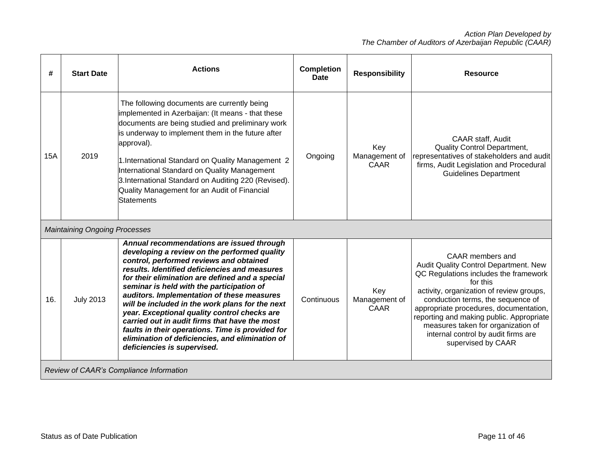| #   | <b>Start Date</b>                    | <b>Actions</b>                                                                                                                                                                                                                                                                                                                                                                                                                                                                                                                                                                                                                | <b>Completion</b><br><b>Date</b> | <b>Responsibility</b>               | <b>Resource</b>                                                                                                                                                                                                                                                                                                                                                                          |
|-----|--------------------------------------|-------------------------------------------------------------------------------------------------------------------------------------------------------------------------------------------------------------------------------------------------------------------------------------------------------------------------------------------------------------------------------------------------------------------------------------------------------------------------------------------------------------------------------------------------------------------------------------------------------------------------------|----------------------------------|-------------------------------------|------------------------------------------------------------------------------------------------------------------------------------------------------------------------------------------------------------------------------------------------------------------------------------------------------------------------------------------------------------------------------------------|
| 15A | 2019                                 | The following documents are currently being<br>implemented in Azerbaijan: (It means - that these<br>documents are being studied and preliminary work<br>is underway to implement them in the future after<br>approval).<br>1. International Standard on Quality Management 2<br>International Standard on Quality Management<br>3. International Standard on Auditing 220 (Revised).<br>Quality Management for an Audit of Financial<br>Statements                                                                                                                                                                            | Ongoing                          | Key<br>Management of<br>CAAR        | <b>CAAR staff, Audit</b><br><b>Quality Control Department,</b><br>representatives of stakeholders and audit<br>firms, Audit Legislation and Procedural<br><b>Guidelines Department</b>                                                                                                                                                                                                   |
|     | <b>Maintaining Ongoing Processes</b> |                                                                                                                                                                                                                                                                                                                                                                                                                                                                                                                                                                                                                               |                                  |                                     |                                                                                                                                                                                                                                                                                                                                                                                          |
| 16. | <b>July 2013</b>                     | Annual recommendations are issued through<br>developing a review on the performed quality<br>control, performed reviews and obtained<br>results. Identified deficiencies and measures<br>for their elimination are defined and a special<br>seminar is held with the participation of<br>auditors. Implementation of these measures<br>will be included in the work plans for the next<br>year. Exceptional quality control checks are<br>carried out in audit firms that have the most<br>faults in their operations. Time is provided for<br>elimination of deficiencies, and elimination of<br>deficiencies is supervised. | Continuous                       | Key<br>Management of<br><b>CAAR</b> | CAAR members and<br>Audit Quality Control Department. New<br>QC Regulations includes the framework<br>for this<br>activity, organization of review groups,<br>conduction terms, the sequence of<br>appropriate procedures, documentation,<br>reporting and making public. Appropriate<br>measures taken for organization of<br>internal control by audit firms are<br>supervised by CAAR |
|     |                                      | Review of CAAR's Compliance Information                                                                                                                                                                                                                                                                                                                                                                                                                                                                                                                                                                                       |                                  |                                     |                                                                                                                                                                                                                                                                                                                                                                                          |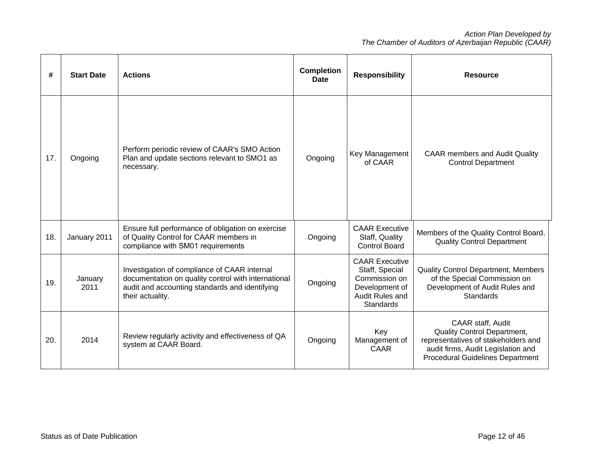| #   | <b>Start Date</b> | <b>Actions</b>                                                                                                                                                            | <b>Completion</b><br><b>Date</b> | <b>Responsibility</b>                                                                                             | <b>Resource</b>                                                                                                                                                                 |
|-----|-------------------|---------------------------------------------------------------------------------------------------------------------------------------------------------------------------|----------------------------------|-------------------------------------------------------------------------------------------------------------------|---------------------------------------------------------------------------------------------------------------------------------------------------------------------------------|
| 17. | Ongoing           | Perform periodic review of CAAR's SMO Action<br>Plan and update sections relevant to SMO1 as<br>necessary.                                                                | Ongoing                          | Key Management<br>of CAAR                                                                                         | <b>CAAR members and Audit Quality</b><br><b>Control Department</b>                                                                                                              |
| 18. | January 2011      | Ensure full performance of obligation on exercise<br>of Quality Control for CAAR members in<br>compliance with SM01 requirements                                          | Ongoing                          | <b>CAAR Executive</b><br>Staff, Quality<br><b>Control Board</b>                                                   | Members of the Quality Control Board,<br><b>Quality Control Department</b>                                                                                                      |
| 19. | January<br>2011   | Investigation of compliance of CAAR internal<br>documentation on quality control with international<br>audit and accounting standards and identifying<br>their actuality. | Ongoing                          | <b>CAAR Executive</b><br>Staff, Special<br>Commission on<br>Development of<br>Audit Rules and<br><b>Standards</b> | Quality Control Department, Members<br>of the Special Commission on<br>Development of Audit Rules and<br>Standards                                                              |
| 20. | 2014              | Review regularly activity and effectiveness of QA<br>system at CAAR Board.                                                                                                | Ongoing                          | Key<br>Management of<br>CAAR                                                                                      | CAAR staff, Audit<br><b>Quality Control Department,</b><br>representatives of stakeholders and<br>audit firms, Audit Legislation and<br><b>Procedural Guidelines Department</b> |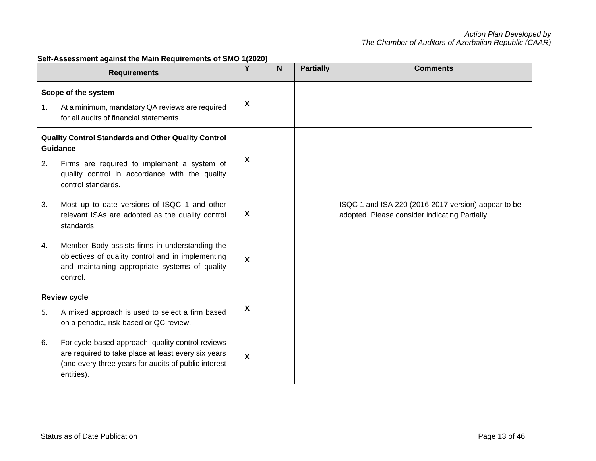|                                                                        | <b>Requirements</b>                                                                                                                                                            | Y                         | N | <b>Partially</b> | <b>Comments</b>                                                                                       |
|------------------------------------------------------------------------|--------------------------------------------------------------------------------------------------------------------------------------------------------------------------------|---------------------------|---|------------------|-------------------------------------------------------------------------------------------------------|
| 1.                                                                     | Scope of the system<br>At a minimum, mandatory QA reviews are required<br>for all audits of financial statements.                                                              | X                         |   |                  |                                                                                                       |
| Quality Control Standards and Other Quality Control<br><b>Guidance</b> |                                                                                                                                                                                |                           |   |                  |                                                                                                       |
| 2.                                                                     | Firms are required to implement a system of<br>quality control in accordance with the quality<br>control standards.                                                            | X                         |   |                  |                                                                                                       |
| 3.                                                                     | Most up to date versions of ISQC 1 and other<br>relevant ISAs are adopted as the quality control<br>standards.                                                                 | X                         |   |                  | ISQC 1 and ISA 220 (2016-2017 version) appear to be<br>adopted. Please consider indicating Partially. |
| 4.                                                                     | Member Body assists firms in understanding the<br>objectives of quality control and in implementing<br>and maintaining appropriate systems of quality<br>control.              | X                         |   |                  |                                                                                                       |
|                                                                        | <b>Review cycle</b>                                                                                                                                                            |                           |   |                  |                                                                                                       |
| 5.                                                                     | A mixed approach is used to select a firm based<br>on a periodic, risk-based or QC review.                                                                                     | X                         |   |                  |                                                                                                       |
| 6.                                                                     | For cycle-based approach, quality control reviews<br>are required to take place at least every six years<br>(and every three years for audits of public interest<br>entities). | $\boldsymbol{\mathsf{X}}$ |   |                  |                                                                                                       |

# **Self-Assessment against the Main Requirements of SMO 1(2020)**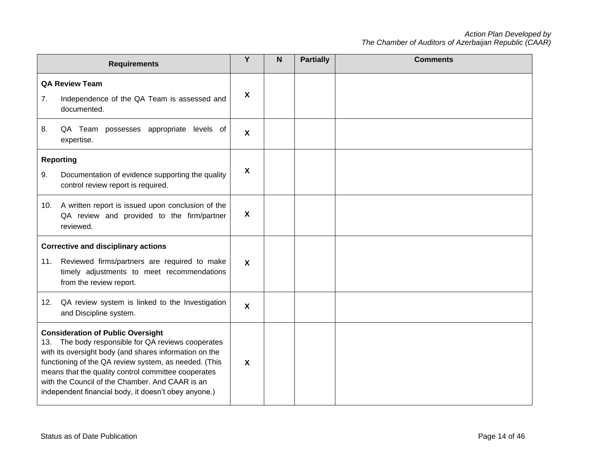|     | <b>Requirements</b>                                                                                                                                                                                                                                                                                                                                                                 | Y                         | N | <b>Partially</b> | <b>Comments</b> |
|-----|-------------------------------------------------------------------------------------------------------------------------------------------------------------------------------------------------------------------------------------------------------------------------------------------------------------------------------------------------------------------------------------|---------------------------|---|------------------|-----------------|
| 7.  | <b>QA Review Team</b><br>Independence of the QA Team is assessed and<br>documented.                                                                                                                                                                                                                                                                                                 | $\boldsymbol{\mathsf{X}}$ |   |                  |                 |
| 8.  | QA Team possesses appropriate<br>levels of<br>expertise.                                                                                                                                                                                                                                                                                                                            | $\boldsymbol{\mathsf{x}}$ |   |                  |                 |
|     | <b>Reporting</b>                                                                                                                                                                                                                                                                                                                                                                    |                           |   |                  |                 |
| 9.  | Documentation of evidence supporting the quality<br>control review report is required.                                                                                                                                                                                                                                                                                              | $\boldsymbol{\mathsf{X}}$ |   |                  |                 |
| 10. | A written report is issued upon conclusion of the<br>QA review and provided to the firm/partner<br>reviewed.                                                                                                                                                                                                                                                                        | $\boldsymbol{\mathsf{X}}$ |   |                  |                 |
|     | <b>Corrective and disciplinary actions</b>                                                                                                                                                                                                                                                                                                                                          |                           |   |                  |                 |
| 11. | Reviewed firms/partners are required to make<br>timely adjustments to meet recommendations<br>from the review report.                                                                                                                                                                                                                                                               | $\boldsymbol{\mathsf{X}}$ |   |                  |                 |
| 12. | QA review system is linked to the Investigation<br>and Discipline system.                                                                                                                                                                                                                                                                                                           | $\boldsymbol{\mathsf{X}}$ |   |                  |                 |
|     | <b>Consideration of Public Oversight</b><br>13. The body responsible for QA reviews cooperates<br>with its oversight body (and shares information on the<br>functioning of the QA review system, as needed. (This<br>means that the quality control committee cooperates<br>with the Council of the Chamber. And CAAR is an<br>independent financial body, it doesn't obey anyone.) | $\boldsymbol{\mathsf{X}}$ |   |                  |                 |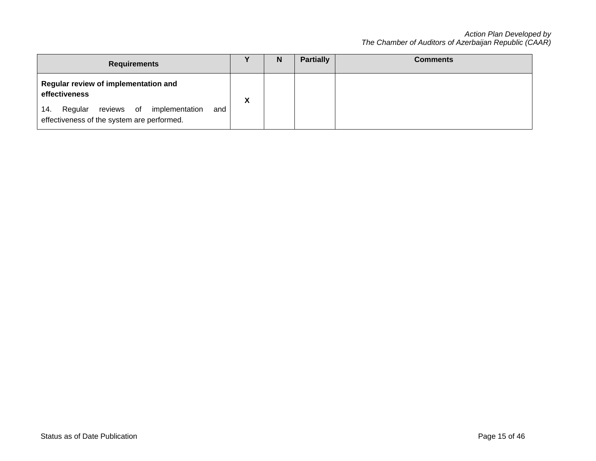| <b>Requirements</b>                                                                                                                                    |           | N | <b>Partially</b> | <b>Comments</b> |
|--------------------------------------------------------------------------------------------------------------------------------------------------------|-----------|---|------------------|-----------------|
| Regular review of implementation and<br>effectiveness<br>Regular reviews of implementation<br>and<br>14.<br>effectiveness of the system are performed. | $\lambda$ |   |                  |                 |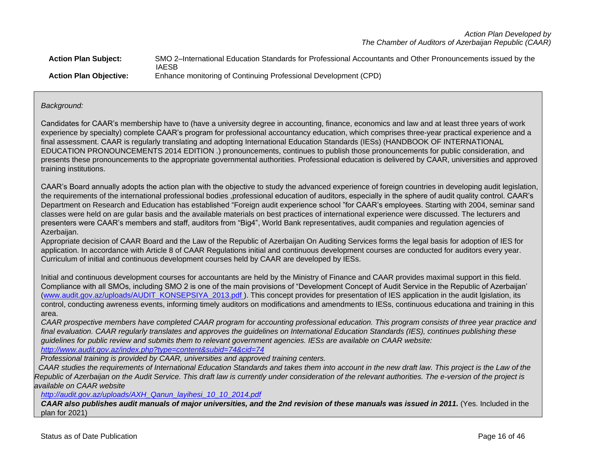| <b>Action Plan Subject:</b>   | SMO 2-International Education Standards for Professional Accountants and Other Pronouncements issued by the |
|-------------------------------|-------------------------------------------------------------------------------------------------------------|
|                               | <b>IAESB</b>                                                                                                |
| <b>Action Plan Objective:</b> | Enhance monitoring of Continuing Professional Development (CPD)                                             |

# *Background:*

Candidates for CAAR's membership have to (have a university degree in accounting, finance, economics and law and at least three years of work experience by specialty) complete CAAR's program for professional accountancy education, which comprises three-year practical experience and a final assessment. CAAR is regularly translating and adopting International Education Standards (IESs) (HANDBOOK OF INTERNATIONAL EDUCATION PRONOUNCEMENTS 2014 EDITION .) pronouncements, continues to publish those pronouncements for public consideration, and presents these pronouncements to the appropriate governmental authorities. Professional education is delivered by CAAR, universities and approved training institutions.

CAAR's Board annually adopts the action plan with the objective to study the advanced experience of foreign countries in developing audit legislation, the requirements of the international professional bodies ,professional education of auditors, especially in the sphere of audit quality control. CAAR's Department on Research and Education has established "Foreign audit experience school "for CAAR's employees. Starting with 2004, seminar sand classes were held on are gular basis and the available materials on best practices of international experience were discussed. The lecturers and presenters were CAAR's members and staff, auditors from "Big4", World Bank representatives, audit companies and regulation agencies of Azerbaiian.

Appropriate decision of CAAR Board and the Law of the Republic of Azerbaijan On Auditing Services forms the legal basis for adoption of IES for application. In accordance with Article 8 of CAAR Regulations initial and continuous development courses are conducted for auditors every year. Curriculum of initial and continuous development courses held by CAAR are developed by IESs.

Initial and continuous development courses for accountants are held by the Ministry of Finance and CAAR provides maximal support in this field. Compliance with all SMOs, including SMO 2 is one of the main provisions of "Development Concept of Audit Service in the Republic of Azerbaijan' [\(www.audit.gov.az/uploads/AUDIT\\_KONSEPSIYA\\_2013.pdf](http://www.audit.gov.az/uploads/AUDIT_KONSEPSIYA_2013.pdf)). This concept provides for presentation of IES application in the audit Igislation, its control, conducting awreness events, informing timely auditors on modifications and amendments to IESs, continuous educationa and training in this area.

*CAAR prospective members have completed CAAR program for accounting professional education. This program consists of three year practice and final evaluation. CAAR regularly translates and approves the guidelines on International Education Standards (IES), continues publishing these guidelines for public review and submits them to relevant government agencies. IESs are available on CAAR website:* 

*<http://www.audit.gov.az/index.php?type=content&subid=74&cid=74>*

 *Professional training is provided by CAAR, universities and approved training centers.*

CAAR studies the requirements of International Education Standards and takes them into account in the new draft law. This project is the Law of the *Republic of Azerbaijan on the Audit Service. This draft law is currently under consideration of the relevant authorities. The e-version of the project is available on CAAR website*

*[http://audit.gov.az/uploads/AXH\\_Qanun\\_layihesi\\_10\\_10\\_2014.pdf](https://deref-mail.com/mail/client/wuh0UjbgrFc/dereferrer/?redirectUrl=http%3A%2F%2Faudit.gov.az%2Fuploads%2FAXH_Qanun_layihesi_10_10_2014.pdf)*

*CAAR also publishes audit manuals of major universities, and the 2nd revision of these manuals was issued in 2011.* (Yes. Included in the plan for 2021)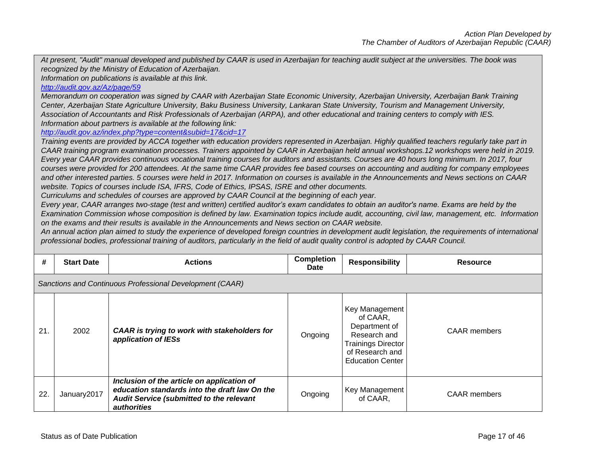*At present, "Audit" manual developed and published by CAAR is used in Azerbaijan for teaching audit subject at the universities. The book was recognized by the Ministry of Education of Azerbaijan.*

*Information on publications is available at this link.*

# *<http://audit.gov.az/Az/page/59>*

*Memorandum on cooperation was signed by CAAR with Azerbaijan State Economic University, Azerbaijan University, Azerbaijan Bank Training Center, Azerbaijan State Agriculture University, Baku Business University, Lankaran State University, Tourism and Management University, Association of Accountants and Risk Professionals of Azerbaijan (ARPA), and other educational and training centers to comply with IES. Information about partners is available at the following link:*

*<http://audit.gov.az/index.php?type=content&subid=17&cid=17>*

*Training events are provided by ACCA together with education providers represented in Azerbaijan. Highly qualified teachers regularly take part in CAAR training program examination processes. Trainers appointed by CAAR in Azerbaijan held annual workshops.12 workshops were held in 2019. Every year CAAR provides continuous vocational training courses for auditors and assistants. Courses are 40 hours long minimum. In 2017, four courses were provided for 200 attendees. At the same time CAAR provides fee based courses on accounting and auditing for company employees and other interested parties. 5 courses were held in 2017. Information on courses is available in the Announcements and News sections on CAAR website. Topics of courses include ISA, IFRS, Code of Ethics, IPSAS, ISRE and other documents.*

*Curriculums and schedules of courses are approved by CAAR Council at the beginning of each year.*

*Every year, CAAR arranges two-stage (test and written) certified auditor's exam candidates to obtain an auditor's name. Exams are held by the Examination Commission whose composition is defined by law. Examination topics include audit, accounting, civil law, management, etc. Information on the exams and their results is available in the Announcements and News section on CAAR website.*

*An annual action plan aimed to study the experience of developed foreign countries in development audit legislation, the requirements of international professional bodies, professional training of auditors, particularly in the field of audit quality control is adopted by CAAR Council.* 

| #   | <b>Start Date</b>                                        | <b>Actions</b>                                                                                                                                                | <b>Completion</b><br><b>Date</b> | <b>Responsibility</b>                                                                                                                  | <b>Resource</b>     |  |  |
|-----|----------------------------------------------------------|---------------------------------------------------------------------------------------------------------------------------------------------------------------|----------------------------------|----------------------------------------------------------------------------------------------------------------------------------------|---------------------|--|--|
|     | Sanctions and Continuous Professional Development (CAAR) |                                                                                                                                                               |                                  |                                                                                                                                        |                     |  |  |
| 21. | 2002                                                     | CAAR is trying to work with stakeholders for<br>application of IESs                                                                                           | Ongoing                          | Key Management<br>of CAAR,<br>Department of<br>Research and<br><b>Trainings Director</b><br>of Research and<br><b>Education Center</b> | <b>CAAR</b> members |  |  |
| 22. | January2017                                              | Inclusion of the article on application of<br>education standards into the draft law On the<br>Audit Service (submitted to the relevant<br><i>authorities</i> | Ongoing                          | Key Management<br>of CAAR,                                                                                                             | <b>CAAR</b> members |  |  |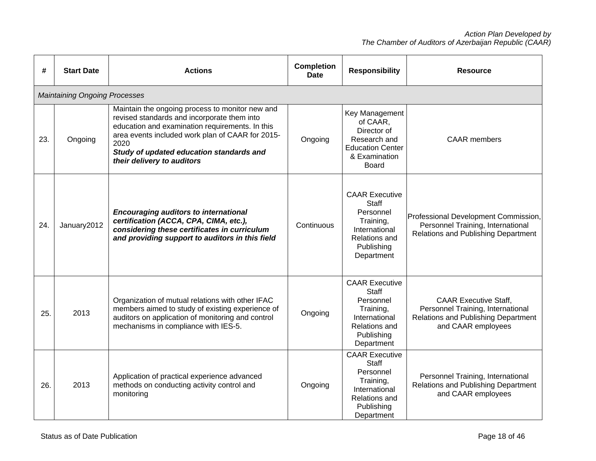| #   | <b>Start Date</b>                    | <b>Actions</b>                                                                                                                                                                                                                                                                          | <b>Completion</b><br><b>Date</b> | <b>Responsibility</b>                                                                                                  | <b>Resource</b>                                                                                                                |
|-----|--------------------------------------|-----------------------------------------------------------------------------------------------------------------------------------------------------------------------------------------------------------------------------------------------------------------------------------------|----------------------------------|------------------------------------------------------------------------------------------------------------------------|--------------------------------------------------------------------------------------------------------------------------------|
|     | <b>Maintaining Ongoing Processes</b> |                                                                                                                                                                                                                                                                                         |                                  |                                                                                                                        |                                                                                                                                |
| 23. | Ongoing                              | Maintain the ongoing process to monitor new and<br>revised standards and incorporate them into<br>education and examination requirements. In this<br>area events included work plan of CAAR for 2015-<br>2020<br>Study of updated education standards and<br>their delivery to auditors | Ongoing                          | Key Management<br>of CAAR,<br>Director of<br>Research and<br><b>Education Center</b><br>& Examination<br>Board         | <b>CAAR</b> members                                                                                                            |
| 24. | January2012                          | <b>Encouraging auditors to international</b><br>certification (ACCA, CPA, CIMA, etc.),<br>considering these certificates in curriculum<br>and providing support to auditors in this field                                                                                               | Continuous                       | <b>CAAR Executive</b><br>Staff<br>Personnel<br>Training,<br>International<br>Relations and<br>Publishing<br>Department | Professional Development Commission,<br>Personnel Training, International<br>Relations and Publishing Department               |
| 25. | 2013                                 | Organization of mutual relations with other IFAC<br>members aimed to study of existing experience of<br>auditors on application of monitoring and control<br>mechanisms in compliance with IES-5.                                                                                       | Ongoing                          | <b>CAAR Executive</b><br>Staff<br>Personnel<br>Training,<br>International<br>Relations and<br>Publishing<br>Department | <b>CAAR Executive Staff.</b><br>Personnel Training, International<br>Relations and Publishing Department<br>and CAAR employees |
| 26. | 2013                                 | Application of practical experience advanced<br>methods on conducting activity control and<br>monitoring                                                                                                                                                                                | Ongoing                          | <b>CAAR Executive</b><br>Staff<br>Personnel<br>Training,<br>International<br>Relations and<br>Publishing<br>Department | Personnel Training, International<br><b>Relations and Publishing Department</b><br>and CAAR employees                          |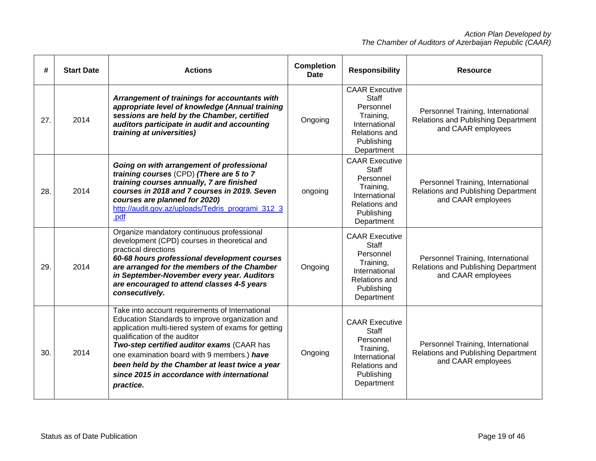| #   | <b>Start Date</b> | <b>Actions</b>                                                                                                                                                                                                                                                                                                                                                                                        | <b>Completion</b><br><b>Date</b> | <b>Responsibility</b>                                                                                                         | <b>Resource</b>                                                                                |
|-----|-------------------|-------------------------------------------------------------------------------------------------------------------------------------------------------------------------------------------------------------------------------------------------------------------------------------------------------------------------------------------------------------------------------------------------------|----------------------------------|-------------------------------------------------------------------------------------------------------------------------------|------------------------------------------------------------------------------------------------|
| 27. | 2014              | Arrangement of trainings for accountants with<br>appropriate level of knowledge (Annual training<br>sessions are held by the Chamber, certified<br>auditors participate in audit and accounting<br>training at universities)                                                                                                                                                                          | Ongoing                          | <b>CAAR Executive</b><br><b>Staff</b><br>Personnel<br>Training,<br>International<br>Relations and<br>Publishing<br>Department | Personnel Training, International<br>Relations and Publishing Department<br>and CAAR employees |
| 28. | 2014              | Going on with arrangement of professional<br>training courses (CPD) (There are 5 to 7<br>training courses annually, 7 are finished<br>courses in 2018 and 7 courses in 2019. Seven<br>courses are planned for 2020)<br>http://audit.gov.az/uploads/Tedris programi 312 3<br>.pdf                                                                                                                      | ongoing                          | <b>CAAR Executive</b><br><b>Staff</b><br>Personnel<br>Training,<br>International<br>Relations and<br>Publishing<br>Department | Personnel Training, International<br>Relations and Publishing Department<br>and CAAR employees |
| 29. | 2014              | Organize mandatory continuous professional<br>development (CPD) courses in theoretical and<br>practical directions<br>60-68 hours professional development courses<br>are arranged for the members of the Chamber<br>in September-November every year. Auditors<br>are encouraged to attend classes 4-5 years<br>consecutively.                                                                       | Ongoing                          | <b>CAAR Executive</b><br><b>Staff</b><br>Personnel<br>Training,<br>International<br>Relations and<br>Publishing<br>Department | Personnel Training, International<br>Relations and Publishing Department<br>and CAAR employees |
| 30. | 2014              | Take into account requirements of International<br>Education Standards to improve organization and<br>application multi-tiered system of exams for getting<br>qualification of the auditor<br>Two-step certified auditor exams (CAAR has<br>one examination board with 9 members.) have<br>been held by the Chamber at least twice a year<br>since 2015 in accordance with international<br>practice. | Ongoing                          | <b>CAAR Executive</b><br><b>Staff</b><br>Personnel<br>Training,<br>International<br>Relations and<br>Publishing<br>Department | Personnel Training, International<br>Relations and Publishing Department<br>and CAAR employees |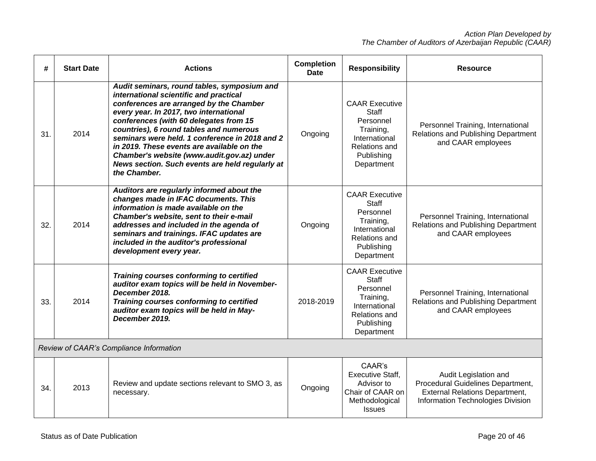| #   | <b>Start Date</b>                       | <b>Actions</b>                                                                                                                                                                                                                                                                                                                                                                                                                                                                   | <b>Completion</b><br>Date | <b>Responsibility</b>                                                                                                         | <b>Resource</b>                                                                                                                          |
|-----|-----------------------------------------|----------------------------------------------------------------------------------------------------------------------------------------------------------------------------------------------------------------------------------------------------------------------------------------------------------------------------------------------------------------------------------------------------------------------------------------------------------------------------------|---------------------------|-------------------------------------------------------------------------------------------------------------------------------|------------------------------------------------------------------------------------------------------------------------------------------|
| 31. | 2014                                    | Audit seminars, round tables, symposium and<br>international scientific and practical<br>conferences are arranged by the Chamber<br>every year. In 2017, two international<br>conferences (with 60 delegates from 15<br>countries), 6 round tables and numerous<br>seminars were held. 1 conference in 2018 and 2<br>in 2019. These events are available on the<br>Chamber's website (www.audit.gov.az) under<br>News section. Such events are held regularly at<br>the Chamber. | Ongoing                   | <b>CAAR Executive</b><br><b>Staff</b><br>Personnel<br>Training,<br>International<br>Relations and<br>Publishing<br>Department | Personnel Training, International<br>Relations and Publishing Department<br>and CAAR employees                                           |
| 32. | 2014                                    | Auditors are regularly informed about the<br>changes made in IFAC documents. This<br>information is made available on the<br>Chamber's website, sent to their e-mail<br>addresses and included in the agenda of<br>seminars and trainings. IFAC updates are<br>included in the auditor's professional<br>development every year.                                                                                                                                                 | Ongoing                   | <b>CAAR Executive</b><br><b>Staff</b><br>Personnel<br>Training,<br>International<br>Relations and<br>Publishing<br>Department | Personnel Training, International<br>Relations and Publishing Department<br>and CAAR employees                                           |
| 33. | 2014                                    | Training courses conforming to certified<br>auditor exam topics will be held in November-<br>December 2018.<br>Training courses conforming to certified<br>auditor exam topics will be held in May-<br>December 2019.                                                                                                                                                                                                                                                            | 2018-2019                 | <b>CAAR Executive</b><br><b>Staff</b><br>Personnel<br>Training,<br>International<br>Relations and<br>Publishing<br>Department | Personnel Training, International<br>Relations and Publishing Department<br>and CAAR employees                                           |
|     | Review of CAAR's Compliance Information |                                                                                                                                                                                                                                                                                                                                                                                                                                                                                  |                           |                                                                                                                               |                                                                                                                                          |
| 34. | 2013                                    | Review and update sections relevant to SMO 3, as<br>necessary.                                                                                                                                                                                                                                                                                                                                                                                                                   | Ongoing                   | CAAR's<br><b>Executive Staff,</b><br>Advisor to<br>Chair of CAAR on<br>Methodological<br><b>Issues</b>                        | Audit Legislation and<br>Procedural Guidelines Department,<br><b>External Relations Department,</b><br>Information Technologies Division |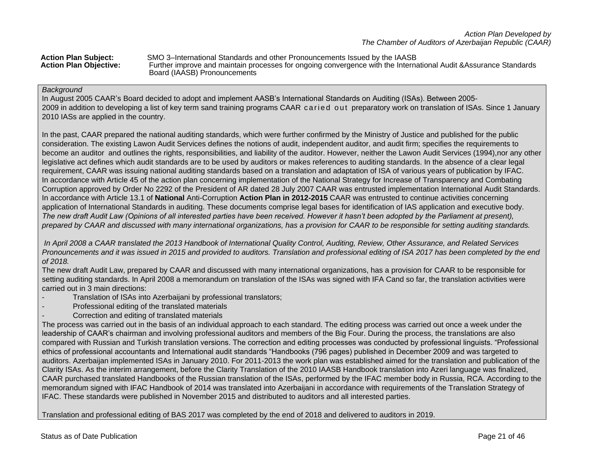|  | <b>Action Plan Subject:</b>   |
|--|-------------------------------|
|  | <b>Action Plan Objective:</b> |

**Action Plan Subject:** SMO 3–International Standards and other Pronouncements Issued by the IAASB Further improve and maintain processes for ongoing convergence with the International Audit &Assurance Standards Board (IAASB) Pronouncements

#### *Background*

In August 2005 CAAR's Board decided to adopt and implement AASB's International Standards on Auditing (ISAs). Between 2005- 2009 in addition to developing a list of key term sand training programs CAAR caried out preparatory work on translation of ISAs. Since 1 January 2010 IASs are applied in the country.

In the past, CAAR prepared the national auditing standards, which were further confirmed by the Ministry of Justice and published for the public consideration. The existing Lawon Audit Services defines the notions of audit, independent auditor, and audit firm; specifies the requirements to become an auditor and outlines the rights, responsibilities, and liability of the auditor. However, neither the Lawon Audit Services (1994),nor any other legislative act defines which audit standards are to be used by auditors or makes references to auditing standards. In the absence of a clear legal requirement, CAAR was issuing national auditing standards based on a translation and adaptation of ISA of various years of publication by IFAC. In accordance with Article 45 of the action plan concerning implementation of the National Strategy for Increase of Transparency and Combating Corruption approved by Order No 2292 of the President of AR dated 28 July 2007 CAAR was entrusted implementation International Audit Standards. In accordance with Article 13.1 of **National** Anti-Corruption **Action Plan in 2012-2015** CAAR was entrusted to continue activities concerning application of International Standards in auditing. These documents comprise legal bases for identification of IAS application and executive body. *The new draft Audit Law (Opinions of all interested parties have been received. However it hasn't been adopted by the Parliament at present), prepared by CAAR and discussed with many international organizations, has a provision for CAAR to be responsible for setting auditing standards.*

*In April 2008 a CAAR translated the 2013 Handbook of International Quality Control, Auditing, Review, Other Assurance, and Related Services Pronouncements and it was issued in 2015 and provided to auditors. Translation and professional editing of ISA 2017 has been completed by the end of 2018.*

The new draft Audit Law, prepared by CAAR and discussed with many international organizations, has a provision for CAAR to be responsible for setting auditing standards. In April 2008 a memorandum on translation of the ISAs was signed with IFA Cand so far, the translation activities were carried out in 3 main directions:

- Translation of ISAs into Azerbaijani by professional translators;
- Professional editing of the translated materials
- Correction and editing of translated materials

The process was carried out in the basis of an individual approach to each standard. The editing process was carried out once a week under the leadership of CAAR's chairman and involving professional auditors and members of the Big Four. During the process, the translations are also compared with Russian and Turkish translation versions. The correction and editing processes was conducted by professional linguists. "Professional ethics of professional accountants and International audit standards "Handbooks (796 pages) published in December 2009 and was targeted to auditors. Azerbaijan implemented ISAs in January 2010. For 2011-2013 the work plan was established aimed for the translation and publication of the Clarity ISAs. As the interim arrangement, before the Clarity Translation of the 2010 IAASB Handbook translation into Azeri language was finalized, CAAR purchased translated Handbooks of the Russian translation of the ISAs, performed by the IFAC member body in Russia, RCA. According to the memorandum signed with IFAC Handbook of 2014 was translated into Azerbaijani in accordance with requirements of the Translation Strategy of IFAC. These standards were published in November 2015 and distributed to auditors and all interested parties.

Translation and professional editing of BAS 2017 was completed by the end of 2018 and delivered to auditors in 2019.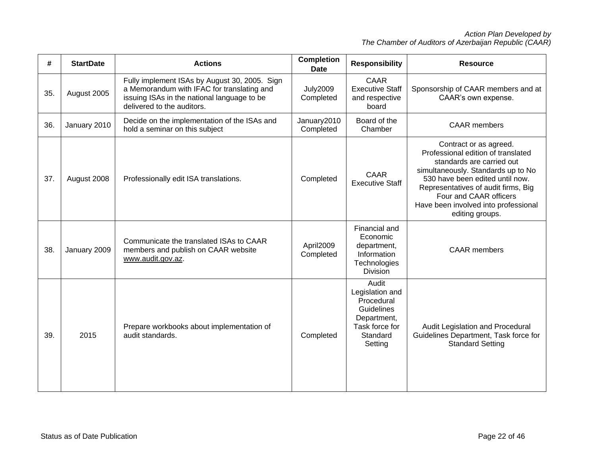| #   | <b>StartDate</b> | <b>Actions</b>                                                                                                                                                           | <b>Completion</b><br><b>Date</b> | <b>Responsibility</b>                                                                                        | <b>Resource</b>                                                                                                                                                                                                                                                                                |
|-----|------------------|--------------------------------------------------------------------------------------------------------------------------------------------------------------------------|----------------------------------|--------------------------------------------------------------------------------------------------------------|------------------------------------------------------------------------------------------------------------------------------------------------------------------------------------------------------------------------------------------------------------------------------------------------|
| 35. | August 2005      | Fully implement ISAs by August 30, 2005. Sign<br>a Memorandum with IFAC for translating and<br>issuing ISAs in the national language to be<br>delivered to the auditors. | <b>July2009</b><br>Completed     | <b>CAAR</b><br><b>Executive Staff</b><br>and respective<br>board                                             | Sponsorship of CAAR members and at<br>CAAR's own expense.                                                                                                                                                                                                                                      |
| 36. | January 2010     | Decide on the implementation of the ISAs and<br>hold a seminar on this subject                                                                                           | January2010<br>Completed         | Board of the<br>Chamber                                                                                      | <b>CAAR</b> members                                                                                                                                                                                                                                                                            |
| 37. | August 2008      | Professionally edit ISA translations.                                                                                                                                    | Completed                        | <b>CAAR</b><br><b>Executive Staff</b>                                                                        | Contract or as agreed.<br>Professional edition of translated<br>standards are carried out<br>simultaneously. Standards up to No<br>530 have been edited until now.<br>Representatives of audit firms, Big<br>Four and CAAR officers<br>Have been involved into professional<br>editing groups. |
| 38. | January 2009     | Communicate the translated ISAs to CAAR<br>members and publish on CAAR website<br>www.audit.gov.az.                                                                      | April2009<br>Completed           | Financial and<br>Economic<br>department,<br>Information<br>Technologies<br>Division                          | <b>CAAR</b> members                                                                                                                                                                                                                                                                            |
| 39. | 2015             | Prepare workbooks about implementation of<br>audit standards.                                                                                                            | Completed                        | Audit<br>Legislation and<br>Procedural<br>Guidelines<br>Department,<br>Task force for<br>Standard<br>Setting | Audit Legislation and Procedural<br>Guidelines Department, Task force for<br><b>Standard Setting</b>                                                                                                                                                                                           |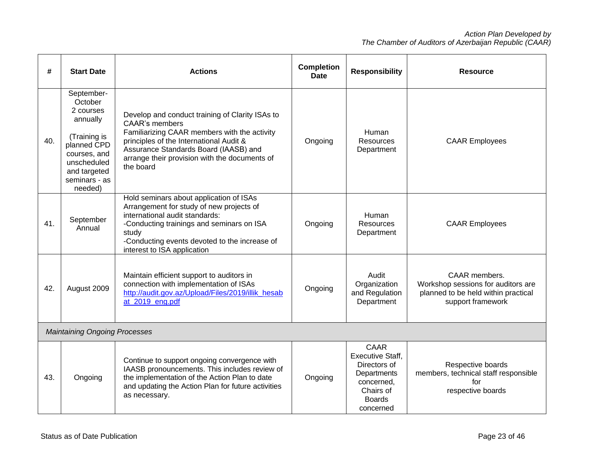| #                                    | <b>Start Date</b>                                                                                                                                        | <b>Actions</b>                                                                                                                                                                                                                                                             | <b>Completion</b><br><b>Date</b> | <b>Responsibility</b>                                                                                                   | <b>Resource</b>                                                                                                 |
|--------------------------------------|----------------------------------------------------------------------------------------------------------------------------------------------------------|----------------------------------------------------------------------------------------------------------------------------------------------------------------------------------------------------------------------------------------------------------------------------|----------------------------------|-------------------------------------------------------------------------------------------------------------------------|-----------------------------------------------------------------------------------------------------------------|
| 40.                                  | September-<br>October<br>2 courses<br>annually<br>(Training is<br>planned CPD<br>courses, and<br>unscheduled<br>and targeted<br>seminars - as<br>needed) | Develop and conduct training of Clarity ISAs to<br><b>CAAR's members</b><br>Familiarizing CAAR members with the activity<br>principles of the International Audit &<br>Assurance Standards Board (IAASB) and<br>arrange their provision with the documents of<br>the board | Ongoing                          | Human<br><b>Resources</b><br>Department                                                                                 | <b>CAAR Employees</b>                                                                                           |
| 41.                                  | September<br>Annual                                                                                                                                      | Hold seminars about application of ISAs<br>Arrangement for study of new projects of<br>international audit standards:<br>-Conducting trainings and seminars on ISA<br>study<br>-Conducting events devoted to the increase of<br>interest to ISA application                | Ongoing                          | Human<br>Resources<br>Department                                                                                        | <b>CAAR Employees</b>                                                                                           |
| 42.                                  | August 2009                                                                                                                                              | Maintain efficient support to auditors in<br>connection with implementation of ISAs<br>http://audit.gov.az/Upload/Files/2019/illik_hesab<br>at 2019 eng.pdf                                                                                                                | Ongoing                          | Audit<br>Organization<br>and Regulation<br>Department                                                                   | CAAR members.<br>Workshop sessions for auditors are<br>planned to be held within practical<br>support framework |
| <b>Maintaining Ongoing Processes</b> |                                                                                                                                                          |                                                                                                                                                                                                                                                                            |                                  |                                                                                                                         |                                                                                                                 |
| 43.                                  | Ongoing                                                                                                                                                  | Continue to support ongoing convergence with<br>IAASB pronouncements. This includes review of<br>the implementation of the Action Plan to date<br>and updating the Action Plan for future activities<br>as necessary.                                                      | Ongoing                          | CAAR<br><b>Executive Staff,</b><br>Directors of<br>Departments<br>concerned,<br>Chairs of<br><b>Boards</b><br>concerned | Respective boards<br>members, technical staff responsible<br>for<br>respective boards                           |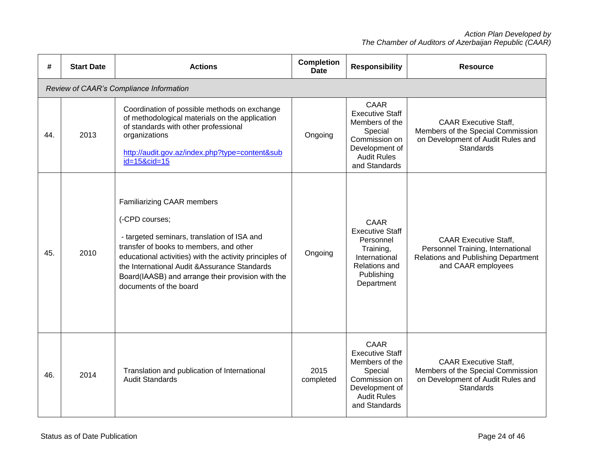| #   | <b>Start Date</b> | <b>Actions</b>                                                                                                                                                                                                                                                                                                                           | <b>Completion</b><br><b>Date</b> | <b>Responsibility</b>                                                                                                                        | <b>Resource</b>                                                                                                                |
|-----|-------------------|------------------------------------------------------------------------------------------------------------------------------------------------------------------------------------------------------------------------------------------------------------------------------------------------------------------------------------------|----------------------------------|----------------------------------------------------------------------------------------------------------------------------------------------|--------------------------------------------------------------------------------------------------------------------------------|
|     |                   | Review of CAAR's Compliance Information                                                                                                                                                                                                                                                                                                  |                                  |                                                                                                                                              |                                                                                                                                |
| 44. | 2013              | Coordination of possible methods on exchange<br>of methodological materials on the application<br>of standards with other professional<br>organizations<br>http://audit.gov.az/index.php?type=content⊂<br>id=15&cid=15                                                                                                                   | Ongoing                          | <b>CAAR</b><br><b>Executive Staff</b><br>Members of the<br>Special<br>Commission on<br>Development of<br><b>Audit Rules</b><br>and Standards | <b>CAAR Executive Staff,</b><br>Members of the Special Commission<br>on Development of Audit Rules and<br><b>Standards</b>     |
| 45. | 2010              | <b>Familiarizing CAAR members</b><br>(-CPD courses;<br>- targeted seminars, translation of ISA and<br>transfer of books to members, and other<br>educational activities) with the activity principles of<br>the International Audit & Assurance Standards<br>Board(IAASB) and arrange their provision with the<br>documents of the board | Ongoing                          | <b>CAAR</b><br><b>Executive Staff</b><br>Personnel<br>Training,<br>International<br>Relations and<br>Publishing<br>Department                | <b>CAAR Executive Staff,</b><br>Personnel Training, International<br>Relations and Publishing Department<br>and CAAR employees |
| 46. | 2014              | Translation and publication of International<br><b>Audit Standards</b>                                                                                                                                                                                                                                                                   | 2015<br>completed                | <b>CAAR</b><br><b>Executive Staff</b><br>Members of the<br>Special<br>Commission on<br>Development of<br><b>Audit Rules</b><br>and Standards | <b>CAAR Executive Staff,</b><br>Members of the Special Commission<br>on Development of Audit Rules and<br>Standards            |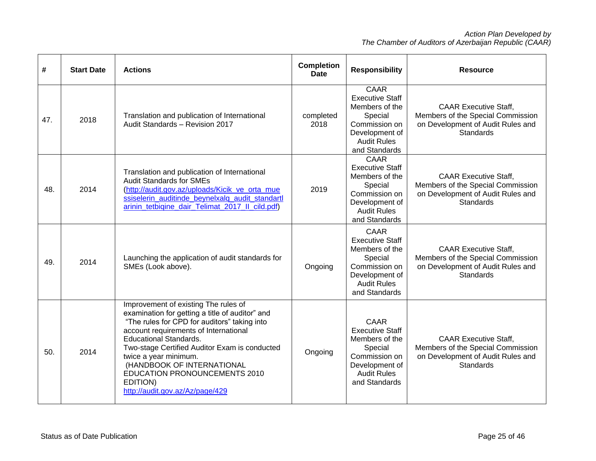| #   | <b>Start Date</b> | <b>Actions</b>                                                                                                                                                                                                                                                                                                                                                                                            | <b>Completion</b><br><b>Date</b> | <b>Responsibility</b>                                                                                                                        | <b>Resource</b>                                                                                                            |
|-----|-------------------|-----------------------------------------------------------------------------------------------------------------------------------------------------------------------------------------------------------------------------------------------------------------------------------------------------------------------------------------------------------------------------------------------------------|----------------------------------|----------------------------------------------------------------------------------------------------------------------------------------------|----------------------------------------------------------------------------------------------------------------------------|
| 47. | 2018              | Translation and publication of International<br>Audit Standards - Revision 2017                                                                                                                                                                                                                                                                                                                           | completed<br>2018                | <b>CAAR</b><br><b>Executive Staff</b><br>Members of the<br>Special<br>Commission on<br>Development of<br><b>Audit Rules</b><br>and Standards | <b>CAAR Executive Staff,</b><br>Members of the Special Commission<br>on Development of Audit Rules and<br>Standards        |
| 48. | 2014              | Translation and publication of International<br><b>Audit Standards for SMEs</b><br>(http://audit.gov.az/uploads/Kicik_ve_orta_mue<br>ssiselerin_auditinde_beynelxalq_audit_standartl<br>arinin_tetbiqine_dair_Telimat_2017_II_cild.pdf)                                                                                                                                                                   | 2019                             | CAAR<br><b>Executive Staff</b><br>Members of the<br>Special<br>Commission on<br>Development of<br><b>Audit Rules</b><br>and Standards        | <b>CAAR Executive Staff.</b><br>Members of the Special Commission<br>on Development of Audit Rules and<br><b>Standards</b> |
| 49. | 2014              | Launching the application of audit standards for<br>SMEs (Look above).                                                                                                                                                                                                                                                                                                                                    | Ongoing                          | <b>CAAR</b><br><b>Executive Staff</b><br>Members of the<br>Special<br>Commission on<br>Development of<br><b>Audit Rules</b><br>and Standards | <b>CAAR Executive Staff.</b><br>Members of the Special Commission<br>on Development of Audit Rules and<br><b>Standards</b> |
| 50. | 2014              | Improvement of existing The rules of<br>examination for getting a title of auditor" and<br>"The rules for CPD for auditors" taking into<br>account requirements of International<br><b>Educational Standards.</b><br>Two-stage Certified Auditor Exam is conducted<br>twice a year minimum.<br>(HANDBOOK OF INTERNATIONAL<br>EDUCATION PRONOUNCEMENTS 2010<br>EDITION)<br>http://audit.gov.az/Az/page/429 | Ongoing                          | CAAR<br><b>Executive Staff</b><br>Members of the<br>Special<br>Commission on<br>Development of<br><b>Audit Rules</b><br>and Standards        | <b>CAAR Executive Staff,</b><br>Members of the Special Commission<br>on Development of Audit Rules and<br><b>Standards</b> |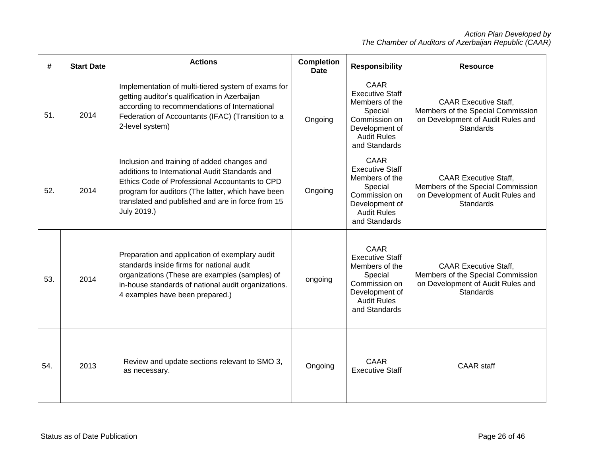| #   | <b>Start Date</b> | <b>Actions</b>                                                                                                                                                                                                                                                           | <b>Completion</b><br><b>Date</b> | <b>Responsibility</b>                                                                                                                        | <b>Resource</b>                                                                                                     |
|-----|-------------------|--------------------------------------------------------------------------------------------------------------------------------------------------------------------------------------------------------------------------------------------------------------------------|----------------------------------|----------------------------------------------------------------------------------------------------------------------------------------------|---------------------------------------------------------------------------------------------------------------------|
| 51. | 2014              | Implementation of multi-tiered system of exams for<br>getting auditor's qualification in Azerbaijan<br>according to recommendations of International<br>Federation of Accountants (IFAC) (Transition to a<br>2-level system)                                             | Ongoing                          | CAAR<br><b>Executive Staff</b><br>Members of the<br>Special<br>Commission on<br>Development of<br><b>Audit Rules</b><br>and Standards        | <b>CAAR Executive Staff,</b><br>Members of the Special Commission<br>on Development of Audit Rules and<br>Standards |
| 52. | 2014              | Inclusion and training of added changes and<br>additions to International Audit Standards and<br>Ethics Code of Professional Accountants to CPD<br>program for auditors (The latter, which have been<br>translated and published and are in force from 15<br>July 2019.) | Ongoing                          | CAAR<br><b>Executive Staff</b><br>Members of the<br>Special<br>Commission on<br>Development of<br><b>Audit Rules</b><br>and Standards        | <b>CAAR Executive Staff.</b><br>Members of the Special Commission<br>on Development of Audit Rules and<br>Standards |
| 53. | 2014              | Preparation and application of exemplary audit<br>standards inside firms for national audit<br>organizations (These are examples (samples) of<br>in-house standards of national audit organizations.<br>4 examples have been prepared.)                                  | ongoing                          | <b>CAAR</b><br><b>Executive Staff</b><br>Members of the<br>Special<br>Commission on<br>Development of<br><b>Audit Rules</b><br>and Standards | <b>CAAR Executive Staff,</b><br>Members of the Special Commission<br>on Development of Audit Rules and<br>Standards |
| 54. | 2013              | Review and update sections relevant to SMO 3,<br>as necessary.                                                                                                                                                                                                           | Ongoing                          | CAAR<br><b>Executive Staff</b>                                                                                                               | <b>CAAR</b> staff                                                                                                   |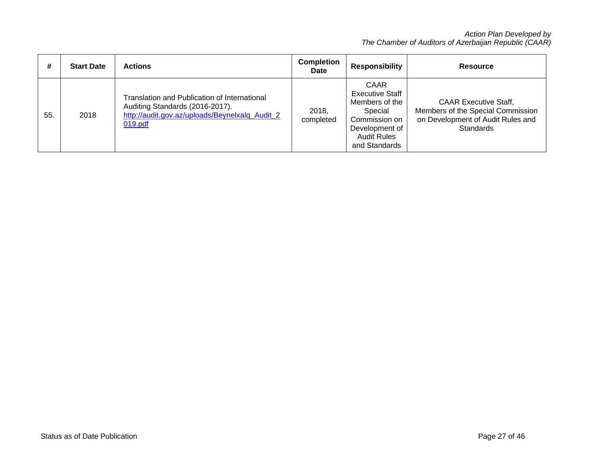| #   | <b>Start Date</b> | <b>Actions</b>                                                                                                                               | <b>Completion</b><br><b>Date</b> | Responsibility                                                                                                                               | <b>Resource</b>                                                                                                            |
|-----|-------------------|----------------------------------------------------------------------------------------------------------------------------------------------|----------------------------------|----------------------------------------------------------------------------------------------------------------------------------------------|----------------------------------------------------------------------------------------------------------------------------|
| 55. | 2018              | Translation and Publication of International<br>Auditing Standards (2016-2017).<br>http://audit.gov.az/uploads/Beynelxalq_Audit_2<br>019.pdf | 2018.<br>completed               | <b>CAAR</b><br><b>Executive Staff</b><br>Members of the<br>Special<br>Commission on<br>Development of<br><b>Audit Rules</b><br>and Standards | <b>CAAR Executive Staff,</b><br>Members of the Special Commission<br>on Development of Audit Rules and<br><b>Standards</b> |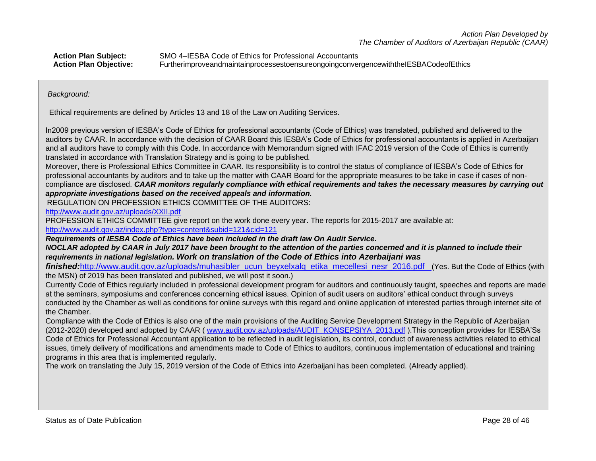| <b>Action Plan Subject:</b>   | SMO 4–IESBA Code of Ethics for Professional Accountants                              |
|-------------------------------|--------------------------------------------------------------------------------------|
| <b>Action Plan Objective:</b> | FurtherimproveandmaintainprocessestoensureongoingconvergencewiththeIESBACodeofEthics |

#### *Background:*

Ethical requirements are defined by Articles 13 and 18 of the Law on Auditing Services.

In2009 previous version of IESBA's Code of Ethics for professional accountants (Code of Ethics) was translated, published and delivered to the auditors by CAAR. In accordance with the decision of CAAR Board this IESBA's Code of Ethics for professional accountants is applied in Azerbaijan and all auditors have to comply with this Code. In accordance with Memorandum signed with IFAC 2019 version of the Code of Ethics is currently translated in accordance with Translation Strategy and is going to be published*.*

Moreover, there is Professional Ethics Committee in CAAR. Its responsibility is to control the status of compliance of IESBA's Code of Ethics for professional accountants by auditors and to take up the matter with CAAR Board for the appropriate measures to be take in case if cases of noncompliance are disclosed. *CAAR monitors regularly compliance with ethical requirements and takes the necessary measures by carrying out appropriate investigations based on the received appeals and information.*

REGULATION ON PROFESSION ETHICS COMMITTEE OF THE AUDITORS:

<http://www.audit.gov.az/uploads/XXII.pdf>

PROFESSION ETHICS COMMITTEE give report on the work done every year. The reports for 2015-2017 are available at: <http://www.audit.gov.az/index.php?type=content&subid=121&cid=121>

*Requirements of IESBA Code of Ethics have been included in the draft law On Audit Service.*

*NOCLAR adopted by CAAR in July 2017 have been brought to the attention of the parties concerned and it is planned to include their requirements in national legislation. Work on translation of the Code of Ethics into Azerbaijani was* 

*finished:http://www.audit.gov.az/uploads/muhasibler* ucun beyxelxalq etika mecellesi nesr 2016.pdf (Yes. But the Code of Ethics (with the MSN) of 2019 has been translated and published, we will post it soon.)

Currently Code of Ethics regularly included in professional development program for auditors and continuously taught, speeches and reports are made at the seminars, symposiums and conferences concerning ethical issues. Opinion of audit users on auditors' ethical conduct through surveys conducted by the Chamber as well as conditions for online surveys with this regard and online application of interested parties through internet site of the Chamber.

Compliance with the Code of Ethics is also one of the main provisions of the Auditing Service Development Strategy in the Republic of Azerbaijan (2012-2020) developed and adopted by CAAR (www.audit.gov.az/uploads/AUDIT\_KONSEPSIYA\_2013.pdf).This conception provides for IESBA'Ss Code of Ethics for Professional Accountant application to be reflected in audit legislation, its control, conduct of awareness activities related to ethical issues, timely delivery of modifications and amendments made to Code of Ethics to auditors, continuous implementation of educational and training programs in this area that is implemented regularly.

The work on translating the July 15, 2019 version of the Code of Ethics into Azerbaijani has been completed. (Already applied).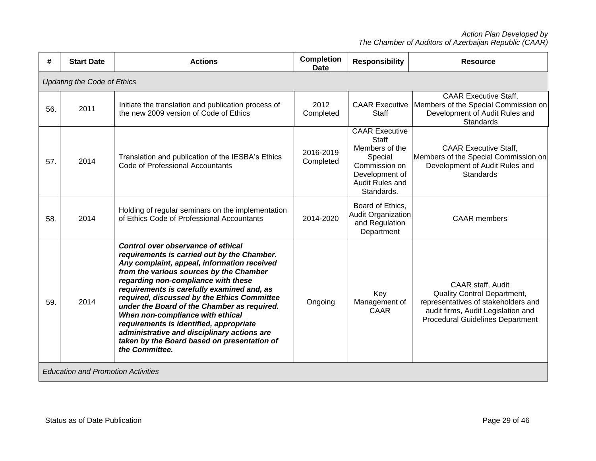| #   | <b>Start Date</b>                         | <b>Actions</b>                                                                                                                                                                                                                                                                                                                                                                                                                                                                                                                                                | <b>Completion</b><br><b>Date</b> | <b>Responsibility</b>                                                                                                           | <b>Resource</b>                                                                                                                                                                 |  |  |  |  |
|-----|-------------------------------------------|---------------------------------------------------------------------------------------------------------------------------------------------------------------------------------------------------------------------------------------------------------------------------------------------------------------------------------------------------------------------------------------------------------------------------------------------------------------------------------------------------------------------------------------------------------------|----------------------------------|---------------------------------------------------------------------------------------------------------------------------------|---------------------------------------------------------------------------------------------------------------------------------------------------------------------------------|--|--|--|--|
|     | <b>Updating the Code of Ethics</b>        |                                                                                                                                                                                                                                                                                                                                                                                                                                                                                                                                                               |                                  |                                                                                                                                 |                                                                                                                                                                                 |  |  |  |  |
| 56. | 2011                                      | Initiate the translation and publication process of<br>the new 2009 version of Code of Ethics                                                                                                                                                                                                                                                                                                                                                                                                                                                                 | 2012<br>Completed                | <b>CAAR Executive</b><br><b>Staff</b>                                                                                           | <b>CAAR Executive Staff,</b><br>Members of the Special Commission on<br>Development of Audit Rules and<br><b>Standards</b>                                                      |  |  |  |  |
| 57. | 2014                                      | Translation and publication of the IESBA's Ethics<br>Code of Professional Accountants                                                                                                                                                                                                                                                                                                                                                                                                                                                                         | 2016-2019<br>Completed           | <b>CAAR Executive</b><br>Staff<br>Members of the<br>Special<br>Commission on<br>Development of<br>Audit Rules and<br>Standards. | <b>CAAR Executive Staff.</b><br>Members of the Special Commission on<br>Development of Audit Rules and<br><b>Standards</b>                                                      |  |  |  |  |
| 58. | 2014                                      | Holding of regular seminars on the implementation<br>of Ethics Code of Professional Accountants                                                                                                                                                                                                                                                                                                                                                                                                                                                               | 2014-2020                        | Board of Ethics,<br>Audit Organization<br>and Regulation<br>Department                                                          | <b>CAAR</b> members                                                                                                                                                             |  |  |  |  |
| 59. | 2014                                      | Control over observance of ethical<br>requirements is carried out by the Chamber.<br>Any complaint, appeal, information received<br>from the various sources by the Chamber<br>regarding non-compliance with these<br>requirements is carefully examined and, as<br>required, discussed by the Ethics Committee<br>under the Board of the Chamber as required.<br>When non-compliance with ethical<br>requirements is identified, appropriate<br>administrative and disciplinary actions are<br>taken by the Board based on presentation of<br>the Committee. | Ongoing                          | Key<br>Management of<br><b>CAAR</b>                                                                                             | CAAR staff, Audit<br><b>Quality Control Department,</b><br>representatives of stakeholders and<br>audit firms, Audit Legislation and<br><b>Procedural Guidelines Department</b> |  |  |  |  |
|     | <b>Education and Promotion Activities</b> |                                                                                                                                                                                                                                                                                                                                                                                                                                                                                                                                                               |                                  |                                                                                                                                 |                                                                                                                                                                                 |  |  |  |  |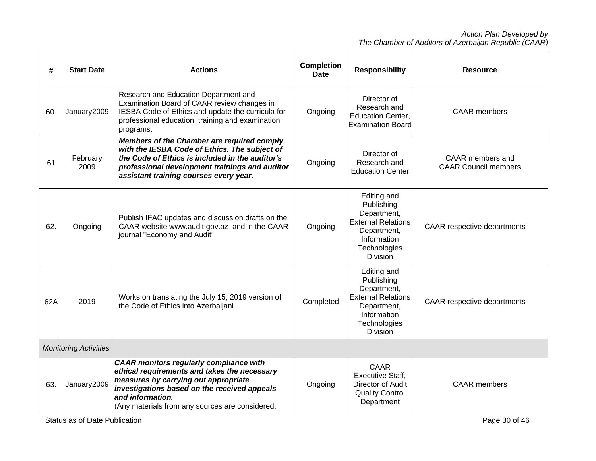| #   | <b>Start Date</b>            | <b>Actions</b>                                                                                                                                                                                                                                         | <b>Completion</b><br><b>Date</b> | <b>Responsibility</b>                                                                                                                  | <b>Resource</b>                                 |
|-----|------------------------------|--------------------------------------------------------------------------------------------------------------------------------------------------------------------------------------------------------------------------------------------------------|----------------------------------|----------------------------------------------------------------------------------------------------------------------------------------|-------------------------------------------------|
| 60. | January2009                  | Research and Education Department and<br>Examination Board of CAAR review changes in<br>IESBA Code of Ethics and update the curricula for<br>professional education, training and examination<br>programs.                                             | Ongoing                          | Director of<br>Research and<br><b>Education Center,</b><br><b>Examination Board</b>                                                    | <b>CAAR</b> members                             |
| 61  | February<br>2009             | Members of the Chamber are required comply<br>with the IESBA Code of Ethics. The subject of<br>the Code of Ethics is included in the auditor's<br>professional development trainings and auditor<br>assistant training courses every year.             | Ongoing                          | Director of<br>Research and<br><b>Education Center</b>                                                                                 | CAAR members and<br><b>CAAR Council members</b> |
| 62. | Ongoing                      | Publish IFAC updates and discussion drafts on the<br>CAAR website www.audit.gov.az_ and in the CAAR<br>journal "Economy and Audit"                                                                                                                     | Ongoing                          | Editing and<br>Publishing<br>Department,<br><b>External Relations</b><br>Department,<br>Information<br>Technologies<br><b>Division</b> | <b>CAAR</b> respective departments              |
| 62A | 2019                         | Works on translating the July 15, 2019 version of<br>the Code of Ethics into Azerbaijani                                                                                                                                                               | Completed                        | Editing and<br>Publishing<br>Department,<br><b>External Relations</b><br>Department,<br>Information<br>Technologies<br><b>Division</b> | <b>CAAR</b> respective departments              |
|     | <b>Monitoring Activities</b> |                                                                                                                                                                                                                                                        |                                  |                                                                                                                                        |                                                 |
| 63. | January2009                  | CAAR monitors regularly compliance with<br>ethical requirements and takes the necessary<br>measures by carrying out appropriate<br>investigations based on the received appeals<br>and information.<br>(Any materials from any sources are considered, | Ongoing                          | <b>CAAR</b><br><b>Executive Staff.</b><br>Director of Audit<br><b>Quality Control</b><br>Department                                    | <b>CAAR</b> members                             |

Status as of Date Publication **Page 30 of 46** Status as of Date Publication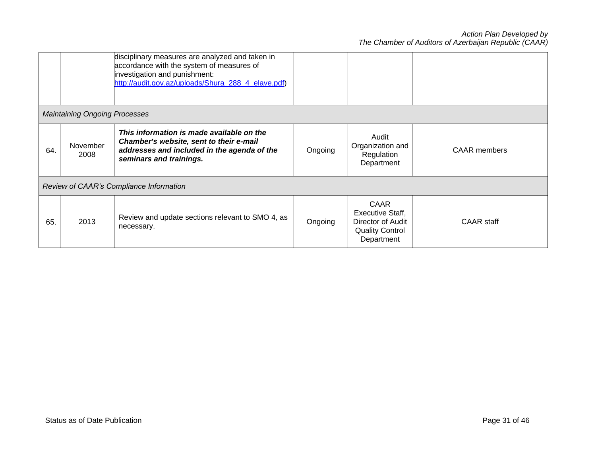|     |                                      | disciplinary measures are analyzed and taken in<br>accordance with the system of measures of<br>investigation and punishment:<br>http://audit.gov.az/uploads/Shura_288_4_elave.pdf) |         |                                                                                       |                     |  |  |  |
|-----|--------------------------------------|-------------------------------------------------------------------------------------------------------------------------------------------------------------------------------------|---------|---------------------------------------------------------------------------------------|---------------------|--|--|--|
|     | <b>Maintaining Ongoing Processes</b> |                                                                                                                                                                                     |         |                                                                                       |                     |  |  |  |
| 64. | November<br>2008                     | This information is made available on the<br>Chamber's website, sent to their e-mail<br>addresses and included in the agenda of the<br>seminars and trainings.                      | Ongoing | Audit<br>Organization and<br>Regulation<br>Department                                 | <b>CAAR</b> members |  |  |  |
|     |                                      | Review of CAAR's Compliance Information                                                                                                                                             |         |                                                                                       |                     |  |  |  |
| 65. | 2013                                 | Review and update sections relevant to SMO 4, as<br>necessary.                                                                                                                      | Ongoing | CAAR<br>Executive Staff,<br>Director of Audit<br><b>Quality Control</b><br>Department | CAAR staff          |  |  |  |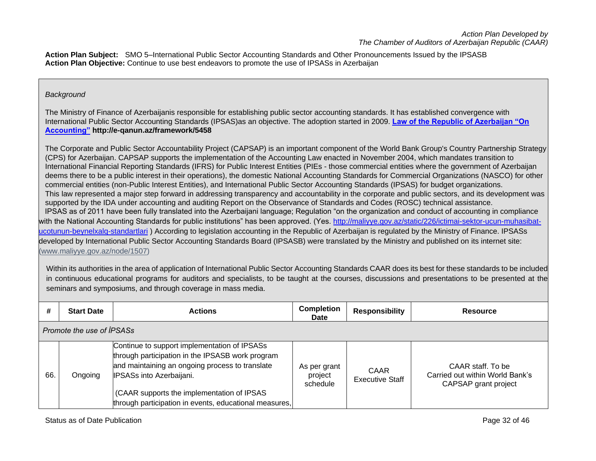**Action Plan Subject:** SMO 5–International Public Sector Accounting Standards and Other Pronouncements Issued by the IPSASB **Action Plan Objective:** Continue to use best endeavors to promote the use of IPSASs in Azerbaijan

# *Background*

The Ministry of Finance of Azerbaijanis responsible for establishing public sector accounting standards. It has established convergence with International Public Sector Accounting Standards (IPSAS)as an objective. The adoption started in 2009. **[Law of the Republic of Azerbaijan "On](http://www.maliyye.gov.az/en/node/1001)  [Accounting"](http://www.maliyye.gov.az/en/node/1001) http://e-qanun.az/framework/5458**

The Corporate and Public Sector Accountability Project (CAPSAP) is an important component of the World Bank Group's Country Partnership Strategy (CPS) for Azerbaijan. CAPSAP supports the implementation of the Accounting Law enacted in November 2004, which mandates transition to International Financial Reporting Standards (IFRS) for Public Interest Entities (PIEs - those commercial entities where the government of Azerbaijan deems there to be a public interest in their operations), the domestic National Accounting Standards for Commercial Organizations (NASCO) for other commercial entities (non-Public Interest Entities), and International Public Sector Accounting Standards (IPSAS) for budget organizations. This law represented a major step forward in addressing transparency and accountability in the corporate and public sectors, and its development was supported by the IDA under accounting and auditing Report on the Observance of Standards and Codes (ROSC) technical assistance. IPSAS as of 2011 have been fully translated into the Azerbaijani language; Regulation "on the organization and conduct of accounting in compliance with the National Accounting Standards for public institutions" has been approved. (Yes. [http://maliyye.gov.az/static/226/ictimai-sektor-ucun-muhasibat](http://maliyye.gov.az/static/226/ictimai-sektor-ucun-muhasibat-ucotunun-beynelxalq-standartlari)[ucotunun-beynelxalq-standartlari](http://maliyye.gov.az/static/226/ictimai-sektor-ucun-muhasibat-ucotunun-beynelxalq-standartlari) ) According to legislation accounting in the Republic of Azerbaijan is regulated by the Ministry of Finance. IPSASs developed by International Public Sector Accounting Standards Board (IPSASB) were translated by the Ministry and published on its internet site: [\(www.maliyye.gov.az/node/1507\)](http://www.maliyye.gov.az/node/1507)

Within its authorities in the area of application of International Public Sector Accounting Standards CAAR does its best for these standards to be included in continuous educational programs for auditors and specialists, to be taught at the courses, discussions and presentations to be presented at the seminars and symposiums, and through coverage in mass media.

| #   | <b>Start Date</b>         | <b>Actions</b>                                                                                                                                                                                                                                                                          | <b>Completion</b><br><b>Date</b>    | <b>Responsibility</b>          | <b>Resource</b>                                                              |  |  |  |
|-----|---------------------------|-----------------------------------------------------------------------------------------------------------------------------------------------------------------------------------------------------------------------------------------------------------------------------------------|-------------------------------------|--------------------------------|------------------------------------------------------------------------------|--|--|--|
|     | Promote the use of IPSASs |                                                                                                                                                                                                                                                                                         |                                     |                                |                                                                              |  |  |  |
| 66. | Ongoing                   | Continue to support implementation of IPSASs<br>through participation in the IPSASB work program<br>and maintaining an ongoing process to translate<br>IPSASs into Azerbaijani.<br>(CAAR supports the implementation of IPSAS<br>through participation in events, educational measures, | As per grant<br>project<br>schedule | CAAR<br><b>Executive Staff</b> | CAAR staff. To be<br>Carried out within World Bank's<br>CAPSAP grant project |  |  |  |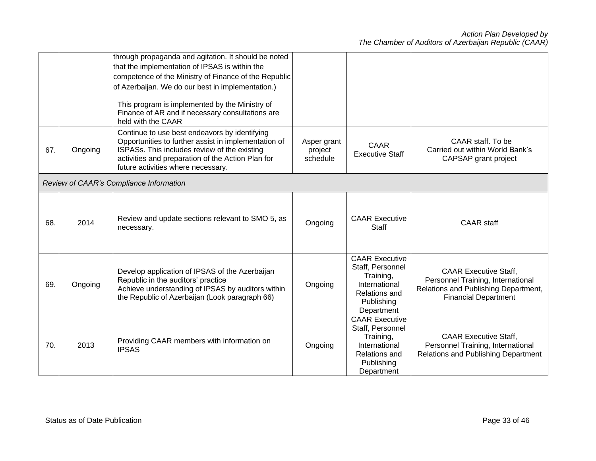|     |         | through propaganda and agitation. It should be noted<br>that the implementation of IPSAS is within the                                                                                                                                           |                                    |                                                                                                                      |                                                                                                                                          |
|-----|---------|--------------------------------------------------------------------------------------------------------------------------------------------------------------------------------------------------------------------------------------------------|------------------------------------|----------------------------------------------------------------------------------------------------------------------|------------------------------------------------------------------------------------------------------------------------------------------|
|     |         | competence of the Ministry of Finance of the Republic<br>of Azerbaijan. We do our best in implementation.)                                                                                                                                       |                                    |                                                                                                                      |                                                                                                                                          |
|     |         |                                                                                                                                                                                                                                                  |                                    |                                                                                                                      |                                                                                                                                          |
|     |         | This program is implemented by the Ministry of<br>Finance of AR and if necessary consultations are<br>held with the CAAR                                                                                                                         |                                    |                                                                                                                      |                                                                                                                                          |
| 67. | Ongoing | Continue to use best endeavors by identifying<br>Opportunities to further assist in implementation of<br>ISPASs. This includes review of the existing<br>activities and preparation of the Action Plan for<br>future activities where necessary. | Asper grant<br>project<br>schedule | <b>CAAR</b><br><b>Executive Staff</b>                                                                                | CAAR staff. To be<br>Carried out within World Bank's<br>CAPSAP grant project                                                             |
|     |         | Review of CAAR's Compliance Information                                                                                                                                                                                                          |                                    |                                                                                                                      |                                                                                                                                          |
| 68. | 2014    | Review and update sections relevant to SMO 5, as<br>necessary.                                                                                                                                                                                   | Ongoing                            | <b>CAAR Executive</b><br><b>Staff</b>                                                                                | <b>CAAR</b> staff                                                                                                                        |
| 69. | Ongoing | Develop application of IPSAS of the Azerbaijan<br>Republic in the auditors' practice<br>Achieve understanding of IPSAS by auditors within<br>the Republic of Azerbaijan (Look paragraph 66)                                                      | Ongoing                            | <b>CAAR Executive</b><br>Staff, Personnel<br>Training,<br>International<br>Relations and<br>Publishing<br>Department | <b>CAAR Executive Staff,</b><br>Personnel Training, International<br>Relations and Publishing Department,<br><b>Financial Department</b> |
| 70. | 2013    | Providing CAAR members with information on<br><b>IPSAS</b>                                                                                                                                                                                       | Ongoing                            | <b>CAAR Executive</b><br>Staff, Personnel<br>Training,<br>International<br>Relations and<br>Publishing<br>Department | <b>CAAR Executive Staff,</b><br>Personnel Training, International<br>Relations and Publishing Department                                 |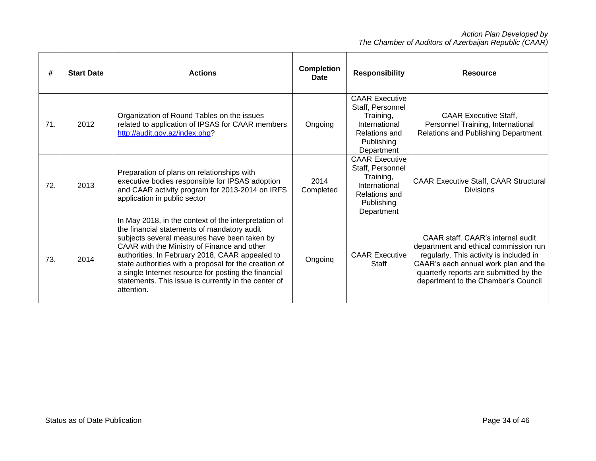| #   | <b>Start Date</b> | <b>Actions</b>                                                                                                                                                                                                                                                                                                                                                                                                                               | <b>Completion</b><br><b>Date</b> | <b>Responsibility</b>                                                                                                       | <b>Resource</b>                                                                                                                                                                                                                                |
|-----|-------------------|----------------------------------------------------------------------------------------------------------------------------------------------------------------------------------------------------------------------------------------------------------------------------------------------------------------------------------------------------------------------------------------------------------------------------------------------|----------------------------------|-----------------------------------------------------------------------------------------------------------------------------|------------------------------------------------------------------------------------------------------------------------------------------------------------------------------------------------------------------------------------------------|
| 71. | 2012              | Organization of Round Tables on the issues<br>related to application of IPSAS for CAAR members<br>http://audit.gov.az/index.php?                                                                                                                                                                                                                                                                                                             | Ongoing                          | <b>CAAR Executive</b><br>Staff, Personnel<br>Training,<br>International<br><b>Relations and</b><br>Publishing<br>Department | <b>CAAR Executive Staff.</b><br>Personnel Training, International<br>Relations and Publishing Department                                                                                                                                       |
| 72. | 2013              | Preparation of plans on relationships with<br>executive bodies responsible for IPSAS adoption<br>and CAAR activity program for 2013-2014 on IRFS<br>application in public sector                                                                                                                                                                                                                                                             | 2014<br>Completed                | <b>CAAR Executive</b><br>Staff, Personnel<br>Training,<br>International<br><b>Relations and</b><br>Publishing<br>Department | <b>CAAR Executive Staff, CAAR Structural</b><br><b>Divisions</b>                                                                                                                                                                               |
| 73. | 2014              | In May 2018, in the context of the interpretation of<br>the financial statements of mandatory audit<br>subjects several measures have been taken by<br>CAAR with the Ministry of Finance and other<br>authorities. In February 2018, CAAR appealed to<br>state authorities with a proposal for the creation of<br>a single Internet resource for posting the financial<br>statements. This issue is currently in the center of<br>attention. | Ongoing                          | <b>CAAR Executive</b><br>Staff                                                                                              | CAAR staff. CAAR's internal audit<br>department and ethical commission run<br>regularly. This activity is included in<br>CAAR's each annual work plan and the<br>quarterly reports are submitted by the<br>department to the Chamber's Council |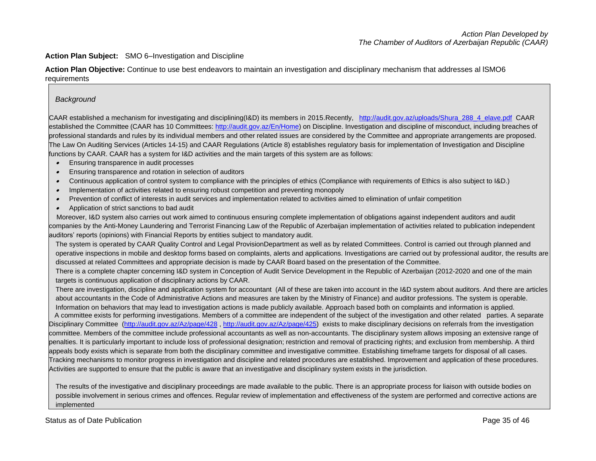#### **Action Plan Subject:** SMO 6–Investigation and Discipline

**Action Plan Objective:** Continue to use best endeavors to maintain an investigation and disciplinary mechanism that addresses al lSMO6 requirements

#### *Background*

CAAR established a mechanism for investigating and disciplining(I&D) its members in 2015.Recently, [http://audit.gov.az/uploads/Shura\\_288\\_4\\_elave.pdf](http://audit.gov.az/uploads/Shura_288_4_elave.pdf) CAAR established the Committee (CAAR has 10 Committees: [http://audit.gov.az/En/Home\)](http://audit.gov.az/En/Home) on Discipline. Investigation and discipline of misconduct, including breaches of professional standards and rules by its individual members and other related issues are considered by the Committee and appropriate arrangements are proposed. The Law On Auditing Services (Articles 14-15) and CAAR Regulations (Article 8) establishes regulatory basis for implementation of Investigation and Discipline functions by CAAR. CAAR has a system for I&D activities and the main targets of this system are as follows:

- Ensuring transparence in audit processes
- •Ensuring transparence and rotation in selection of auditors
- •Continuous application of control system to compliance with the principles of ethics (Compliance with requirements of Ethics is also subject to I&D.)
- •Implementation of activities related to ensuring robust competition and preventing monopoly
- •Prevention of conflict of interests in audit services and implementation related to activities aimed to elimination of unfair competition
- •Application of strict sanctions to bad audit

 Moreover, I&D system also carries out work aimed to continuous ensuring complete implementation of obligations against independent auditors and audit companies by the Anti-Money Laundering and Terrorist Financing Law of the Republic of Azerbaijan implementation of activities related to publication independent auditors' reports (opinions) with Financial Reports by entities subject to mandatory audit.

The system is operated by CAAR Quality Control and Legal ProvisionDepartment as well as by related Committees. Control is carried out through planned and operative inspections in mobile and desktop forms based on complaints, alerts and applications. Investigations are carried out by professional auditor, the results are discussed at related Committees and appropriate decision is made by CAAR Board based on the presentation of the Committee.

There is a complete chapter concerning I&D system in Conception of Audit Service Development in the Republic of Azerbaijan (2012-2020 and one of the main targets is continuous application of disciplinary actions by CAAR.

There are investigation, discipline and application system for accountant (All of these are taken into account in the I&D system about auditors. And there are articles about accountants in the Code of Administrative Actions and measures are taken by the Ministry of Finance) and auditor professions. The system is operable. Information on behaviors that may lead to investigation actions is made publicly available. Approach based both on complaints and information is applied.

 A committee exists for performing investigations. Members of a committee are independent of the subject of the investigation and other related parties. A separate Disciplinary Committee [\(http://audit.gov.az/Az/page/428](http://audit.gov.az/Az/page/428)[, http://audit.gov.az/Az/page/425\)](http://audit.gov.az/Az/page/425) exists to make disciplinary decisions on referrals from the investigation committee. Members of the committee include professional accountants as well as non-accountants. The disciplinary system allows imposing an extensive range of penalties. It is particularly important to include loss of professional designation; restriction and removal of practicing rights; and exclusion from membership. A third appeals body exists which is separate from both the disciplinary committee and investigative committee. Establishing timeframe targets for disposal of all cases. Tracking mechanisms to monitor progress in investigation and discipline and related procedures are established. Improvement and application of these procedures. Activities are supported to ensure that the public is aware that an investigative and disciplinary system exists in the jurisdiction.

The results of the investigative and disciplinary proceedings are made available to the public. There is an appropriate process for liaison with outside bodies on possible involvement in serious crimes and offences. Regular review of implementation and effectiveness of the system are performed and corrective actions are implemented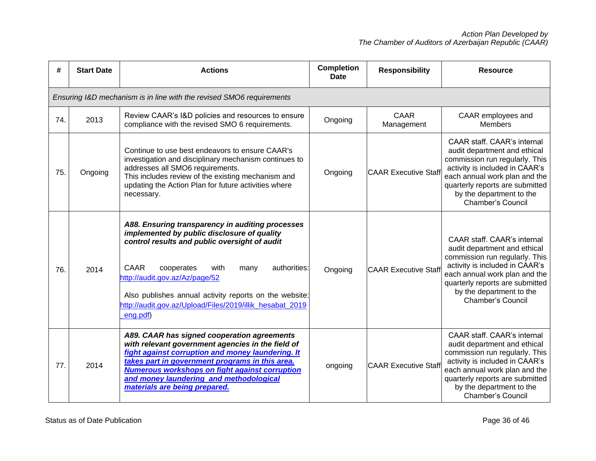| #   | <b>Start Date</b>                                                    | <b>Actions</b>                                                                                                                                                                                                                                                                                                                                                                    | <b>Completion</b><br>Date | <b>Responsibility</b>       | <b>Resource</b>                                                                                                                                                                                                                                                    |  |  |  |
|-----|----------------------------------------------------------------------|-----------------------------------------------------------------------------------------------------------------------------------------------------------------------------------------------------------------------------------------------------------------------------------------------------------------------------------------------------------------------------------|---------------------------|-----------------------------|--------------------------------------------------------------------------------------------------------------------------------------------------------------------------------------------------------------------------------------------------------------------|--|--|--|
|     | Ensuring I&D mechanism is in line with the revised SMO6 requirements |                                                                                                                                                                                                                                                                                                                                                                                   |                           |                             |                                                                                                                                                                                                                                                                    |  |  |  |
| 74. | 2013                                                                 | Review CAAR's I&D policies and resources to ensure<br>compliance with the revised SMO 6 requirements.                                                                                                                                                                                                                                                                             | Ongoing                   | CAAR<br>Management          | CAAR employees and<br><b>Members</b>                                                                                                                                                                                                                               |  |  |  |
| 75. | Ongoing                                                              | Continue to use best endeavors to ensure CAAR's<br>investigation and disciplinary mechanism continues to<br>addresses all SMO6 requirements.<br>This includes review of the existing mechanism and<br>updating the Action Plan for future activities where<br>necessary.                                                                                                          | Ongoing                   | <b>CAAR Executive Staff</b> | <b>CAAR staff. CAAR's internal</b><br>audit department and ethical<br>commission run regularly. This<br>activity is included in CAAR's<br>each annual work plan and the<br>quarterly reports are submitted<br>by the department to the<br><b>Chamber's Council</b> |  |  |  |
| 76. | 2014                                                                 | A88. Ensuring transparency in auditing processes<br>implemented by public disclosure of quality<br>control results and public oversight of audit<br><b>CAAR</b><br>authorities:<br>cooperates<br>with<br>many<br>http://audit.gov.az/Az/page/52<br>Also publishes annual activity reports on the website:<br>http://audit.gov.az/Upload/Files/2019/illik hesabat 2019<br>eng.pdf) | Ongoing                   | <b>CAAR Executive Staff</b> | CAAR staff. CAAR's internal<br>audit department and ethical<br>commission run regularly. This<br>activity is included in CAAR's<br>each annual work plan and the<br>quarterly reports are submitted<br>by the department to the<br><b>Chamber's Council</b>        |  |  |  |
| 77. | 2014                                                                 | A89. CAAR has signed cooperation agreements<br>with relevant government agencies in the field of<br>fight against corruption and money laundering. It<br>takes part in government programs in this area.<br><b>Numerous workshops on fight against corruption</b><br>and money laundering and methodological<br>materials are being prepared.                                     | ongoing                   | <b>CAAR Executive Staff</b> | CAAR staff. CAAR's internal<br>audit department and ethical<br>commission run regularly. This<br>activity is included in CAAR's<br>each annual work plan and the<br>quarterly reports are submitted<br>by the department to the<br><b>Chamber's Council</b>        |  |  |  |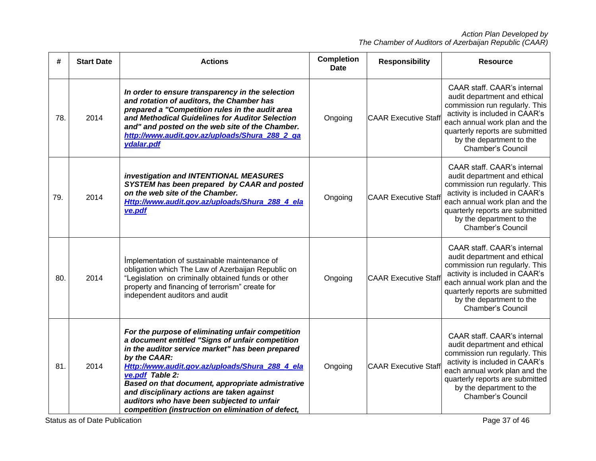| #   | <b>Start Date</b> | <b>Actions</b>                                                                                                                                                                                                                                                                                                                                                                                                                                           | <b>Completion</b><br>Date | <b>Responsibility</b>       | <b>Resource</b>                                                                                                                                                                                                                                                    |
|-----|-------------------|----------------------------------------------------------------------------------------------------------------------------------------------------------------------------------------------------------------------------------------------------------------------------------------------------------------------------------------------------------------------------------------------------------------------------------------------------------|---------------------------|-----------------------------|--------------------------------------------------------------------------------------------------------------------------------------------------------------------------------------------------------------------------------------------------------------------|
| 78. | 2014              | In order to ensure transparency in the selection<br>and rotation of auditors, the Chamber has<br>prepared a "Competition rules in the audit area<br>and Methodical Guidelines for Auditor Selection<br>and" and posted on the web site of the Chamber.<br>http://www.audit.gov.az/uploads/Shura_288_2_ga<br>ydalar.pdf                                                                                                                                   | Ongoing                   | <b>CAAR Executive Staff</b> | <b>CAAR staff. CAAR's internal</b><br>audit department and ethical<br>commission run regularly. This<br>activity is included in CAAR's<br>each annual work plan and the<br>quarterly reports are submitted<br>by the department to the<br><b>Chamber's Council</b> |
| 79. | 2014              | investigation and INTENTIONAL MEASURES<br>SYSTEM has been prepared by CAAR and posted<br>on the web site of the Chamber.<br>Http://www.audit.gov.az/uploads/Shura_288_4_ela<br>ve.pdf                                                                                                                                                                                                                                                                    | Ongoing                   | <b>CAAR Executive Staff</b> | CAAR staff. CAAR's internal<br>audit department and ethical<br>commission run regularly. This<br>activity is included in CAAR's<br>each annual work plan and the<br>quarterly reports are submitted<br>by the department to the<br><b>Chamber's Council</b>        |
| 80. | 2014              | Implementation of sustainable maintenance of<br>obligation which The Law of Azerbaijan Republic on<br>"Legislation on criminally obtained funds or other<br>property and financing of terrorism" create for<br>independent auditors and audit                                                                                                                                                                                                            | Ongoing                   | <b>CAAR Executive Staff</b> | CAAR staff. CAAR's internal<br>audit department and ethical<br>commission run regularly. This<br>activity is included in CAAR's<br>each annual work plan and the<br>quarterly reports are submitted<br>by the department to the<br><b>Chamber's Council</b>        |
| 81. | 2014              | For the purpose of eliminating unfair competition<br>a document entitled "Signs of unfair competition<br>in the auditor service market" has been prepared<br>by the CAAR:<br>Http://www.audit.gov.az/uploads/Shura_288_4_ela<br>ve.pdf Table $2$ :<br>Based on that document, appropriate admistrative<br>and disciplinary actions are taken against<br>auditors who have been subjected to unfair<br>competition (instruction on elimination of defect, | Ongoing                   | <b>CAAR Executive Staff</b> | CAAR staff. CAAR's internal<br>audit department and ethical<br>commission run regularly. This<br>activity is included in CAAR's<br>each annual work plan and the<br>quarterly reports are submitted<br>by the department to the<br><b>Chamber's Council</b>        |

Status as of Date Publication **Page 37** of 46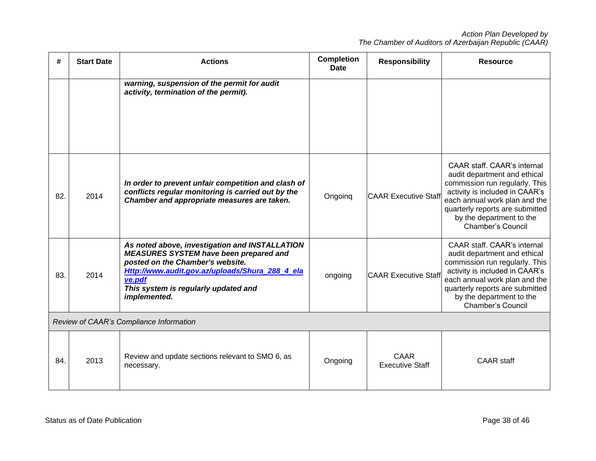| #   | <b>Start Date</b>                       | <b>Actions</b>                                                                                                                                                                                                                                           | <b>Completion</b><br><b>Date</b> | <b>Responsibility</b>                 | <b>Resource</b>                                                                                                                                                                                                                                             |  |  |  |
|-----|-----------------------------------------|----------------------------------------------------------------------------------------------------------------------------------------------------------------------------------------------------------------------------------------------------------|----------------------------------|---------------------------------------|-------------------------------------------------------------------------------------------------------------------------------------------------------------------------------------------------------------------------------------------------------------|--|--|--|
|     |                                         | warning, suspension of the permit for audit<br>activity, termination of the permit).                                                                                                                                                                     |                                  |                                       |                                                                                                                                                                                                                                                             |  |  |  |
| 82. | 2014                                    | In order to prevent unfair competition and clash of<br>conflicts regular monitoring is carried out by the<br>Chamber and appropriate measures are taken.                                                                                                 | Ongoing                          | <b>CAAR Executive Staff</b>           | CAAR staff. CAAR's internal<br>audit department and ethical<br>commission run regularly. This<br>activity is included in CAAR's<br>each annual work plan and the<br>quarterly reports are submitted<br>by the department to the<br><b>Chamber's Council</b> |  |  |  |
| 83. | 2014                                    | As noted above, investigation and INSTALLATION<br><b>MEASURES SYSTEM have been prepared and</b><br>posted on the Chamber's website.<br>Http://www.audit.gov.az/uploads/Shura 288 4 ela<br>ve.pdf<br>This system is regularly updated and<br>implemented. | ongoing                          | <b>CAAR Executive Staff</b>           | CAAR staff. CAAR's internal<br>audit department and ethical<br>commission run regularly. This<br>activity is included in CAAR's<br>each annual work plan and the<br>quarterly reports are submitted<br>by the department to the<br><b>Chamber's Council</b> |  |  |  |
|     | Review of CAAR's Compliance Information |                                                                                                                                                                                                                                                          |                                  |                                       |                                                                                                                                                                                                                                                             |  |  |  |
| 84. | 2013                                    | Review and update sections relevant to SMO 6, as<br>necessary.                                                                                                                                                                                           | Ongoing                          | <b>CAAR</b><br><b>Executive Staff</b> | <b>CAAR</b> staff                                                                                                                                                                                                                                           |  |  |  |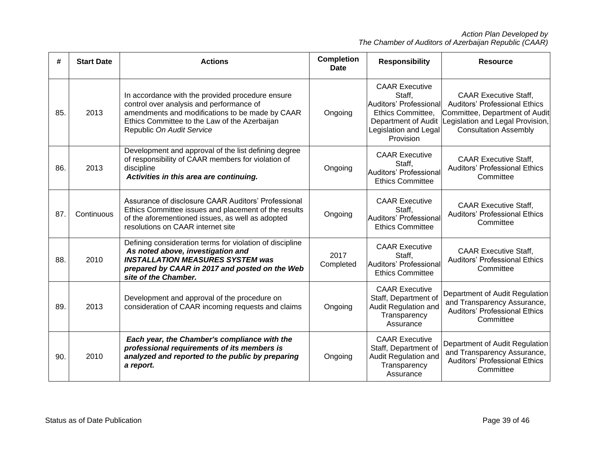| #   | <b>Start Date</b> | <b>Actions</b>                                                                                                                                                                                                                | <b>Completion</b><br><b>Date</b> | <b>Responsibility</b>                                                                                                                       | <b>Resource</b>                                                                                                                                                            |
|-----|-------------------|-------------------------------------------------------------------------------------------------------------------------------------------------------------------------------------------------------------------------------|----------------------------------|---------------------------------------------------------------------------------------------------------------------------------------------|----------------------------------------------------------------------------------------------------------------------------------------------------------------------------|
| 85. | 2013              | In accordance with the provided procedure ensure<br>control over analysis and performance of<br>amendments and modifications to be made by CAAR<br>Ethics Committee to the Law of the Azerbaijan<br>Republic On Audit Service | Ongoing                          | <b>CAAR Executive</b><br>Staff,<br>Auditors' Professional<br>Ethics Committee,<br>Department of Audit<br>Legislation and Legal<br>Provision | <b>CAAR Executive Staff.</b><br><b>Auditors' Professional Ethics</b><br>Committee, Department of Audit<br>Legislation and Legal Provision,<br><b>Consultation Assembly</b> |
| 86. | 2013              | Development and approval of the list defining degree<br>of responsibility of CAAR members for violation of<br>discipline<br>Activities in this area are continuing.                                                           | Ongoing                          | <b>CAAR Executive</b><br>Staff,<br>Auditors' Professional<br><b>Ethics Committee</b>                                                        | <b>CAAR Executive Staff.</b><br><b>Auditors' Professional Ethics</b><br>Committee                                                                                          |
| 87. | Continuous        | Assurance of disclosure CAAR Auditors' Professional<br>Ethics Committee issues and placement of the results<br>of the aforementioned issues, as well as adopted<br>resolutions on CAAR internet site                          | Ongoing                          | <b>CAAR Executive</b><br>Staff,<br>Auditors' Professional<br><b>Ethics Committee</b>                                                        | <b>CAAR Executive Staff,</b><br><b>Auditors' Professional Ethics</b><br>Committee                                                                                          |
| 88. | 2010              | Defining consideration terms for violation of discipline<br>As noted above, investigation and<br><b>INSTALLATION MEASURES SYSTEM was</b><br>prepared by CAAR in 2017 and posted on the Web<br>site of the Chamber.            | 2017<br>Completed                | <b>CAAR Executive</b><br>Staff.<br>Auditors' Professional<br><b>Ethics Committee</b>                                                        | <b>CAAR Executive Staff,</b><br><b>Auditors' Professional Ethics</b><br>Committee                                                                                          |
| 89. | 2013              | Development and approval of the procedure on<br>consideration of CAAR incoming requests and claims                                                                                                                            | Ongoing                          | <b>CAAR Executive</b><br>Staff, Department of<br>Audit Regulation and<br>Transparency<br>Assurance                                          | Department of Audit Regulation<br>and Transparency Assurance,<br><b>Auditors' Professional Ethics</b><br>Committee                                                         |
| 90. | 2010              | Each year, the Chamber's compliance with the<br>professional requirements of its members is<br>analyzed and reported to the public by preparing<br>a report.                                                                  | Ongoing                          | <b>CAAR Executive</b><br>Staff, Department of<br>Audit Regulation and<br>Transparency<br>Assurance                                          | Department of Audit Regulation<br>and Transparency Assurance,<br><b>Auditors' Professional Ethics</b><br>Committee                                                         |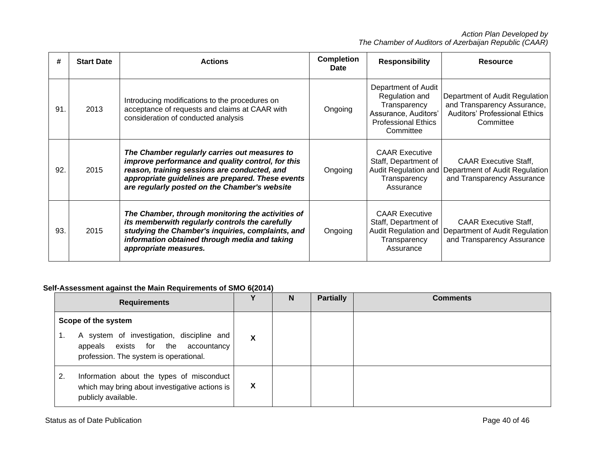| #   | <b>Start Date</b> | <b>Actions</b>                                                                                                                                                                                                                                           | <b>Completion</b><br><b>Date</b> | <b>Responsibility</b>                                                                                                    | <b>Resource</b>                                                                                                    |
|-----|-------------------|----------------------------------------------------------------------------------------------------------------------------------------------------------------------------------------------------------------------------------------------------------|----------------------------------|--------------------------------------------------------------------------------------------------------------------------|--------------------------------------------------------------------------------------------------------------------|
| 91. | 2013              | Introducing modifications to the procedures on<br>acceptance of requests and claims at CAAR with<br>consideration of conducted analysis                                                                                                                  | Ongoing                          | Department of Audit<br>Regulation and<br>Transparency<br>Assurance, Auditors'<br><b>Professional Ethics</b><br>Committee | Department of Audit Regulation<br>and Transparency Assurance,<br><b>Auditors' Professional Ethics</b><br>Committee |
| 92. | 2015              | The Chamber regularly carries out measures to<br>improve performance and quality control, for this<br>reason, training sessions are conducted, and<br>appropriate guidelines are prepared. These events<br>are regularly posted on the Chamber's website | Ongoing                          | <b>CAAR Executive</b><br>Staff, Department of<br>Audit Regulation and<br>Transparency<br>Assurance                       | <b>CAAR Executive Staff,</b><br>Department of Audit Regulation<br>and Transparency Assurance                       |
| 93. | 2015              | The Chamber, through monitoring the activities of<br>its memberwith regularly controls the carefully<br>studying the Chamber's inquiries, complaints, and<br>information obtained through media and taking<br>appropriate measures.                      | Ongoing                          | <b>CAAR Executive</b><br>Staff, Department of<br>Audit Regulation and<br>Transparency<br>Assurance                       | <b>CAAR Executive Staff,</b><br>Department of Audit Regulation<br>and Transparency Assurance                       |

# **Self-Assessment against the Main Requirements of SMO 6(2014)**

| <b>Requirements</b>                                                                                                                                    | v | N | <b>Partially</b> | <b>Comments</b> |
|--------------------------------------------------------------------------------------------------------------------------------------------------------|---|---|------------------|-----------------|
| Scope of the system<br>A system of investigation, discipline and<br>1.<br>appeals exists for the accountancy<br>profession. The system is operational. | X |   |                  |                 |
| Information about the types of misconduct<br>2.<br>which may bring about investigative actions is<br>publicly available.                               | Х |   |                  |                 |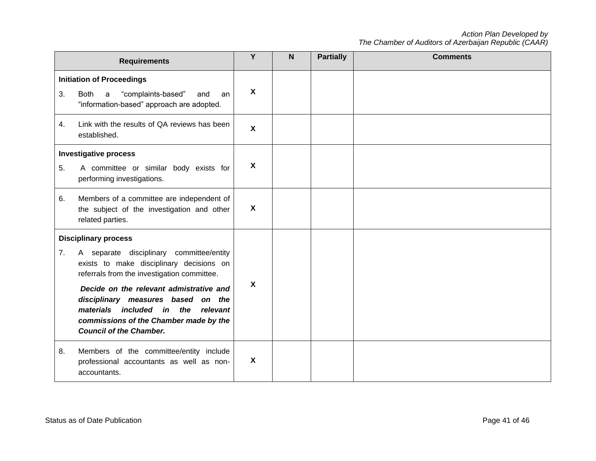|                                                                                                                                                                                                                                                                                                                                                                             | <b>Requirements</b>                                                                                                                  | Y                         | $\mathbf N$ | <b>Partially</b> | <b>Comments</b> |
|-----------------------------------------------------------------------------------------------------------------------------------------------------------------------------------------------------------------------------------------------------------------------------------------------------------------------------------------------------------------------------|--------------------------------------------------------------------------------------------------------------------------------------|---------------------------|-------------|------------------|-----------------|
| 3.                                                                                                                                                                                                                                                                                                                                                                          | <b>Initiation of Proceedings</b><br>"complaints-based"<br><b>Both</b><br>a<br>and<br>an<br>"information-based" approach are adopted. | $\mathbf{x}$              |             |                  |                 |
| 4.                                                                                                                                                                                                                                                                                                                                                                          | Link with the results of QA reviews has been<br>established.                                                                         | $\mathbf{x}$              |             |                  |                 |
| <b>Investigative process</b><br>5.<br>A committee or similar body exists for<br>performing investigations.                                                                                                                                                                                                                                                                  |                                                                                                                                      | $\boldsymbol{\mathsf{X}}$ |             |                  |                 |
| 6.                                                                                                                                                                                                                                                                                                                                                                          | Members of a committee are independent of<br>the subject of the investigation and other<br>related parties.                          | $\boldsymbol{X}$          |             |                  |                 |
| <b>Disciplinary process</b><br>A separate disciplinary committee/entity<br>7.<br>exists to make disciplinary decisions on<br>referrals from the investigation committee.<br>Decide on the relevant admistrative and<br>disciplinary measures based on the<br>materials included in the relevant<br>commissions of the Chamber made by the<br><b>Council of the Chamber.</b> |                                                                                                                                      | $\boldsymbol{\mathsf{X}}$ |             |                  |                 |
| 8.                                                                                                                                                                                                                                                                                                                                                                          | Members of the committee/entity include<br>professional accountants as well as non-<br>accountants.                                  | X                         |             |                  |                 |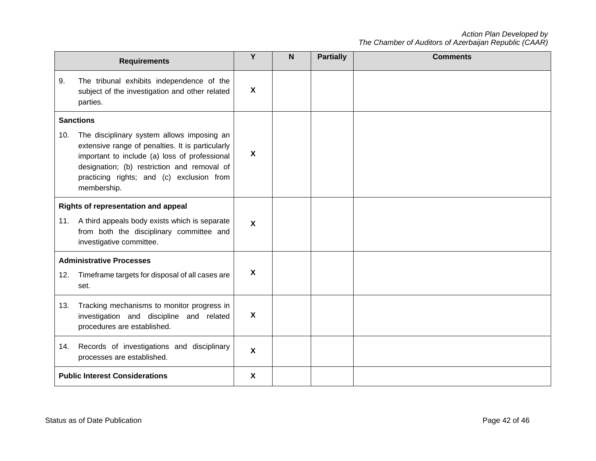|                                       | <b>Requirements</b>                                                                                                                                                                                                                                        | Y                         | N <sub>1</sub> | <b>Partially</b> | <b>Comments</b> |
|---------------------------------------|------------------------------------------------------------------------------------------------------------------------------------------------------------------------------------------------------------------------------------------------------------|---------------------------|----------------|------------------|-----------------|
| 9.                                    | The tribunal exhibits independence of the<br>subject of the investigation and other related<br>parties.                                                                                                                                                    | X                         |                |                  |                 |
|                                       | <b>Sanctions</b>                                                                                                                                                                                                                                           |                           |                |                  |                 |
| 10.                                   | The disciplinary system allows imposing an<br>extensive range of penalties. It is particularly<br>important to include (a) loss of professional<br>designation; (b) restriction and removal of<br>practicing rights; and (c) exclusion from<br>membership. | X                         |                |                  |                 |
| Rights of representation and appeal   |                                                                                                                                                                                                                                                            |                           |                |                  |                 |
|                                       | 11. A third appeals body exists which is separate<br>from both the disciplinary committee and<br>investigative committee.                                                                                                                                  | $\mathsf{x}$              |                |                  |                 |
| <b>Administrative Processes</b>       |                                                                                                                                                                                                                                                            |                           |                |                  |                 |
| 12.                                   | Timeframe targets for disposal of all cases are<br>set.                                                                                                                                                                                                    | $\boldsymbol{\mathsf{X}}$ |                |                  |                 |
| 13.                                   | Tracking mechanisms to monitor progress in<br>investigation and discipline and related<br>procedures are established.                                                                                                                                      | X                         |                |                  |                 |
| 14.                                   | Records of investigations and disciplinary<br>processes are established.                                                                                                                                                                                   | $\mathsf{x}$              |                |                  |                 |
| <b>Public Interest Considerations</b> |                                                                                                                                                                                                                                                            | X                         |                |                  |                 |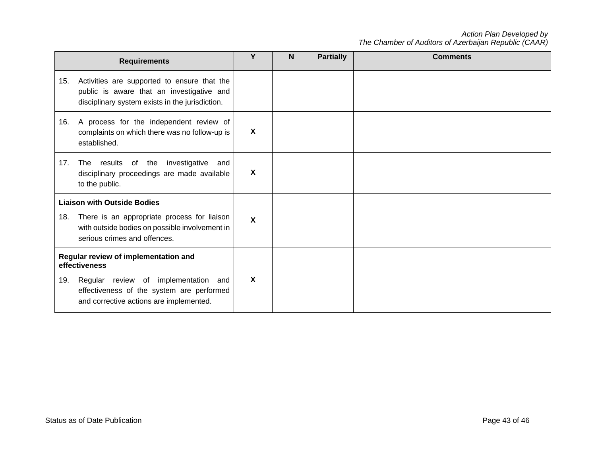|                                    | <b>Requirements</b>                                                                                                                         | Υ                         | <b>N</b> | <b>Partially</b> | <b>Comments</b> |
|------------------------------------|---------------------------------------------------------------------------------------------------------------------------------------------|---------------------------|----------|------------------|-----------------|
| 15.                                | Activities are supported to ensure that the<br>public is aware that an investigative and<br>disciplinary system exists in the jurisdiction. |                           |          |                  |                 |
| 16.                                | A process for the independent review of<br>complaints on which there was no follow-up is<br>established.                                    | X                         |          |                  |                 |
| 17.                                | investigative<br>results<br>of the<br>and<br><b>The</b><br>disciplinary proceedings are made available<br>to the public.                    | $\boldsymbol{\mathsf{X}}$ |          |                  |                 |
| <b>Liaison with Outside Bodies</b> |                                                                                                                                             |                           |          |                  |                 |
| 18.                                | There is an appropriate process for liaison<br>with outside bodies on possible involvement in<br>serious crimes and offences.               | X                         |          |                  |                 |
|                                    | Regular review of implementation and<br>effectiveness                                                                                       |                           |          |                  |                 |
| 19.                                | Regular review of implementation<br>and<br>effectiveness of the system are performed<br>and corrective actions are implemented.             | $\boldsymbol{\mathsf{X}}$ |          |                  |                 |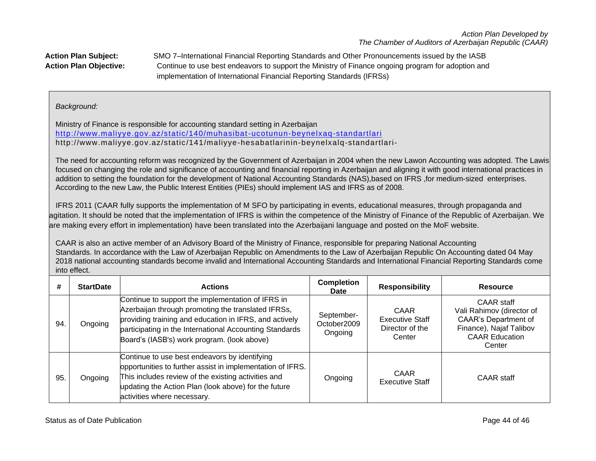**Action Plan Subject:** SMO 7–International Financial Reporting Standards and Other Pronouncements issued by the IASB **Action Plan Objective:** Continue to use best endeavors to support the Ministry of Finance ongoing program for adoption and implementation of International Financial Reporting Standards (IFRSs)

# *Background:*

Ministry of Finance is responsible for accounting standard setting in Azerbaijan <http://www.maliyye.gov.az/static/140/muhasibat-ucotunun-beynelxaq-standartlari> http://www.maliyye.gov.az/static /141/maliyye-hesabatlarinin-beynelxalq-standartlari-

The need for accounting reform was recognized by the Government of Azerbaijan in 2004 when the new Lawon Accounting was adopted. The Lawis focused on changing the role and significance of accounting and financial reporting in Azerbaijan and aligning it with good international practices in addition to setting the foundation for the development of National Accounting Standards (NAS),based on IFRS ,for medium-sized enterprises. According to the new Law, the Public Interest Entities (PIEs) should implement IAS and IFRS as of 2008.

 IFRS 2011 (CAAR fully supports the implementation of M SFO by participating in events, educational measures, through propaganda and agitation. It should be noted that the implementation of IFRS is within the competence of the Ministry of Finance of the Republic of Azerbaijan. We are making every effort in implementation) have been translated into the Azerbaijani language and posted on the MoF website.

CAAR is also an active member of an Advisory Board of the Ministry of Finance, responsible for preparing National Accounting Standards. In accordance with the Law of Azerbaijan Republic on Amendments to the Law of Azerbaijan Republic On Accounting dated 04 May 2018 national accounting standards become invalid and International Accounting Standards and International Financial Reporting Standards come into effect.

| #   | <b>StartDate</b> | <b>Actions</b>                                                                                                                                                                                                                                                              | <b>Completion</b><br><b>Date</b>     | <b>Responsibility</b>                                       | Resource                                                                                                                                    |
|-----|------------------|-----------------------------------------------------------------------------------------------------------------------------------------------------------------------------------------------------------------------------------------------------------------------------|--------------------------------------|-------------------------------------------------------------|---------------------------------------------------------------------------------------------------------------------------------------------|
| 94. | Ongoing          | Continue to support the implementation of IFRS in<br>Azerbaijan through promoting the translated IFRSs,<br>providing training and education in IFRS, and actively<br>participating in the International Accounting Standards<br>Board's (IASB's) work program. (look above) | September-<br>October2009<br>Ongoing | CAAR<br><b>Executive Staff</b><br>Director of the<br>Center | <b>CAAR staff</b><br>Vali Rahimov (director of<br><b>CAAR's Department of</b><br>Finance), Najaf Talibov<br><b>CAAR Education</b><br>Center |
| 95. | Ongoing          | Continue to use best endeavors by identifying<br>opportunities to further assist in implementation of IFRS.<br>This includes review of the existing activities and<br>updating the Action Plan (look above) for the future<br>activities where necessary.                   | Ongoing                              | CAAR<br><b>Executive Staff</b>                              | CAAR staff                                                                                                                                  |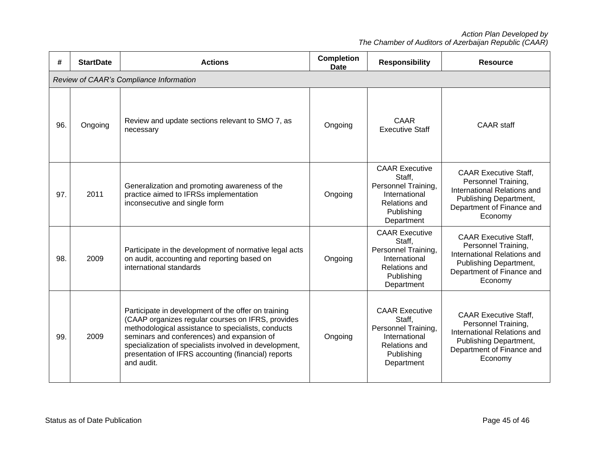| #   | <b>StartDate</b>                        | <b>Actions</b>                                                                                                                                                                                                                                                                                                                              | <b>Completion</b><br><b>Date</b> | <b>Responsibility</b>                                                                                                | <b>Resource</b>                                                                                                                                      |  |  |  |
|-----|-----------------------------------------|---------------------------------------------------------------------------------------------------------------------------------------------------------------------------------------------------------------------------------------------------------------------------------------------------------------------------------------------|----------------------------------|----------------------------------------------------------------------------------------------------------------------|------------------------------------------------------------------------------------------------------------------------------------------------------|--|--|--|
|     | Review of CAAR's Compliance Information |                                                                                                                                                                                                                                                                                                                                             |                                  |                                                                                                                      |                                                                                                                                                      |  |  |  |
| 96. | Ongoing                                 | Review and update sections relevant to SMO 7, as<br>necessary                                                                                                                                                                                                                                                                               | Ongoing                          | <b>CAAR</b><br><b>Executive Staff</b>                                                                                | <b>CAAR</b> staff                                                                                                                                    |  |  |  |
| 97. | 2011                                    | Generalization and promoting awareness of the<br>practice aimed to IFRSs implementation<br>inconsecutive and single form                                                                                                                                                                                                                    | Ongoing                          | <b>CAAR Executive</b><br>Staff,<br>Personnel Training,<br>International<br>Relations and<br>Publishing<br>Department | <b>CAAR Executive Staff.</b><br>Personnel Training,<br>International Relations and<br>Publishing Department,<br>Department of Finance and<br>Economy |  |  |  |
| 98. | 2009                                    | Participate in the development of normative legal acts<br>on audit, accounting and reporting based on<br>international standards                                                                                                                                                                                                            | Ongoing                          | <b>CAAR Executive</b><br>Staff,<br>Personnel Training,<br>International<br>Relations and<br>Publishing<br>Department | <b>CAAR Executive Staff,</b><br>Personnel Training,<br>International Relations and<br>Publishing Department,<br>Department of Finance and<br>Economy |  |  |  |
| 99. | 2009                                    | Participate in development of the offer on training<br>(CAAP organizes regular courses on IFRS, provides<br>methodological assistance to specialists, conducts<br>seminars and conferences) and expansion of<br>specialization of specialists involved in development,<br>presentation of IFRS accounting (financial) reports<br>and audit. | Ongoing                          | <b>CAAR Executive</b><br>Staff,<br>Personnel Training,<br>International<br>Relations and<br>Publishing<br>Department | <b>CAAR Executive Staff,</b><br>Personnel Training,<br>International Relations and<br>Publishing Department,<br>Department of Finance and<br>Economy |  |  |  |